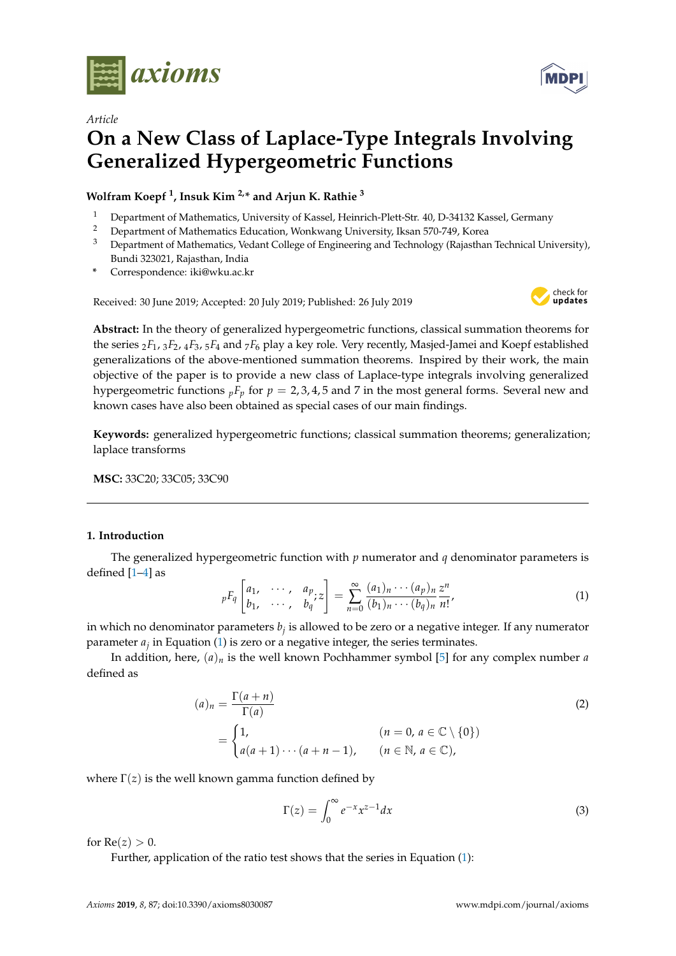

*Article*

# **On a New Class of Laplace-Type Integrals Involving Generalized Hypergeometric Functions**

**Wolfram Koepf <sup>1</sup> , Insuk Kim 2,\* and Arjun K. Rathie <sup>3</sup>**

- <sup>1</sup> Department of Mathematics, University of Kassel, Heinrich-Plett-Str. 40, D-34132 Kassel, Germany<br><sup>2</sup> Department of Mathematics Education, Wonkusang University Ikean 570, 740, Karea
- <sup>2</sup> Department of Mathematics Education, Wonkwang University, Iksan 570-749, Korea<br><sup>3</sup> Department of Mathematics, Vedent College of Engineering and Technology (Bajasthar
- <sup>3</sup> Department of Mathematics, Vedant College of Engineering and Technology (Rajasthan Technical University), Bundi 323021, Rajasthan, India
- **\*** Correspondence: iki@wku.ac.kr

Received: 30 June 2019; Accepted: 20 July 2019; Published: 26 July 2019



**Abstract:** In the theory of generalized hypergeometric functions, classical summation theorems for the series <sup>2</sup>*F*1, <sup>3</sup>*F*2, <sup>4</sup>*F*3, <sup>5</sup>*F*<sup>4</sup> and <sup>7</sup>*F*<sup>6</sup> play a key role. Very recently, Masjed-Jamei and Koepf established generalizations of the above-mentioned summation theorems. Inspired by their work, the main objective of the paper is to provide a new class of Laplace-type integrals involving generalized hypergeometric functions  $pF_p$  for  $p = 2, 3, 4, 5$  and 7 in the most general forms. Several new and known cases have also been obtained as special cases of our main findings.

**Keywords:** generalized hypergeometric functions; classical summation theorems; generalization; laplace transforms

**MSC:** 33C20; 33C05; 33C90

## <span id="page-0-1"></span>**1. Introduction**

The generalized hypergeometric function with *p* numerator and *q* denominator parameters is defined [\[1–](#page-19-0)[4\]](#page-19-1) as

<span id="page-0-0"></span>
$$
{}_{p}F_{q}\left[\begin{matrix} a_{1}, & \cdots, & a_{p} \\ b_{1}, & \cdots, & b_{q} \end{matrix} \right] = \sum_{n=0}^{\infty} \frac{(a_{1})_{n} \cdots (a_{p})_{n}}{(b_{1})_{n} \cdots (b_{q})_{n}} \frac{z^{n}}{n!},
$$
\n(1)

in which no denominator parameters *b<sup>j</sup>* is allowed to be zero or a negative integer. If any numerator parameter *a<sup>j</sup>* in Equation [\(1\)](#page-0-0) is zero or a negative integer, the series terminates.

In addition, here, (*a*)*<sup>n</sup>* is the well known Pochhammer symbol [\[5\]](#page-19-2) for any complex number *a* defined as

$$
(a)_n = \frac{\Gamma(a+n)}{\Gamma(a)}
$$
  
= 
$$
\begin{cases} 1, & (n = 0, a \in \mathbb{C} \setminus \{0\}) \\ a(a+1)\cdots(a+n-1), & (n \in \mathbb{N}, a \in \mathbb{C}), \end{cases}
$$
 (2)

where  $\Gamma(z)$  is the well known gamma function defined by

$$
\Gamma(z) = \int_0^\infty e^{-x} x^{z-1} dx
$$
 (3)

for  $Re(z) > 0$ .

Further, application of the ratio test shows that the series in Equation [\(1\)](#page-0-0):

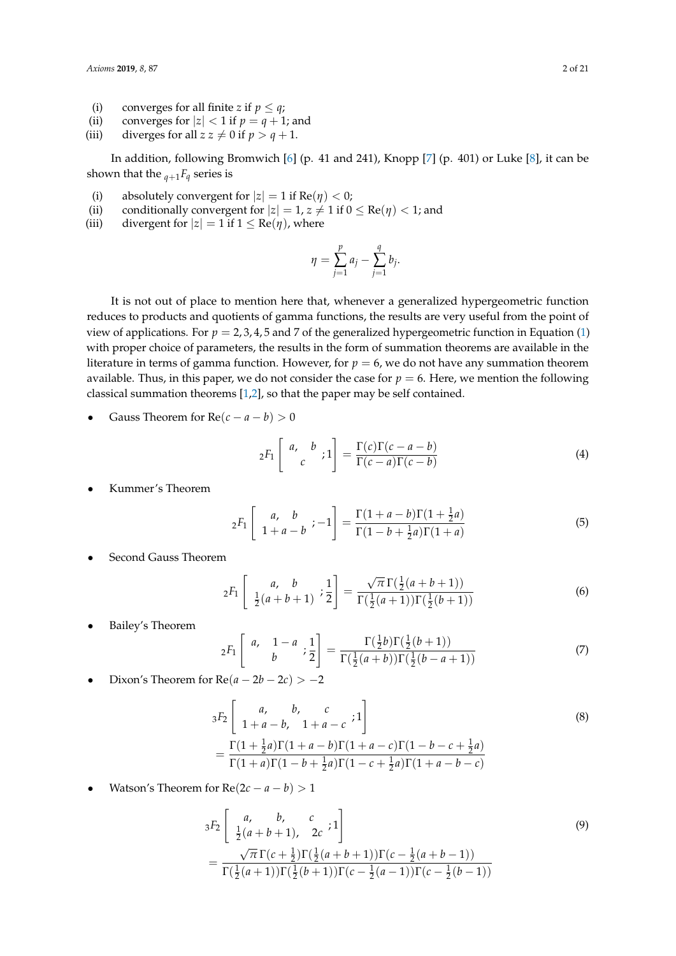- (i) converges for all finite *z* if  $p \leq q$ ;
- (ii) converges for  $|z| < 1$  if  $p = q + 1$ ; and
- (iii) diverges for all  $z z \neq 0$  if  $p > q + 1$ .

In addition, following Bromwich [\[6\]](#page-19-3) (p. 41 and 241), Knopp [\[7\]](#page-19-4) (p. 401) or Luke [\[8\]](#page-19-5), it can be shown that the  $q+1$ *F*<sup> $q$ </sup> series is

- (i) absolutely convergent for  $|z| = 1$  if  $Re(\eta) < 0$ ;
- (ii) conditionally convergent for  $|z| = 1$ ,  $z \neq 1$  if  $0 \leq \text{Re}(\eta) < 1$ ; and
- (iii) divergent for  $|z| = 1$  if  $1 \leq Re(\eta)$ , where

$$
\eta = \sum_{j=1}^{p} a_j - \sum_{j=1}^{q} b_j.
$$

It is not out of place to mention here that, whenever a generalized hypergeometric function reduces to products and quotients of gamma functions, the results are very useful from the point of view of applications. For  $p = 2, 3, 4, 5$  and 7 of the generalized hypergeometric function in Equation [\(1\)](#page-0-0) with proper choice of parameters, the results in the form of summation theorems are available in the literature in terms of gamma function. However, for  $p = 6$ , we do not have any summation theorem available. Thus, in this paper, we do not consider the case for  $p = 6$ . Here, we mention the following classical summation theorems [\[1](#page-19-0)[,2\]](#page-19-6), so that the paper may be self contained.

Gauss Theorem for  $Re(c - a - b) > 0$ 

<span id="page-1-0"></span>
$$
{}_2F_1\left[\begin{array}{cc}a, & b\\ c& \end{array}; 1\right] = \frac{\Gamma(c)\Gamma(c-a-b)}{\Gamma(c-a)\Gamma(c-b)}\tag{4}
$$

• Kummer's Theorem

<span id="page-1-1"></span>
$$
{}_2F_1 \left[ \begin{array}{cc} a, & b \\ 1+a-b & -1 \end{array} \right] = \frac{\Gamma(1+a-b)\Gamma(1+\frac{1}{2}a)}{\Gamma(1-b+\frac{1}{2}a)\Gamma(1+a)} \tag{5}
$$

• Second Gauss Theorem

<span id="page-1-2"></span>
$$
{}_2F_1\left[\begin{array}{cc}a, & b\\ \frac{1}{2}(a+b+1) & \frac{1}{2}\end{array}\right] = \frac{\sqrt{\pi}\,\Gamma(\frac{1}{2}(a+b+1))}{\Gamma(\frac{1}{2}(a+1))\Gamma(\frac{1}{2}(b+1))}
$$
(6)

Bailey's Theorem

<span id="page-1-3"></span>
$$
{}_2F_1\left[\begin{array}{cc}a, & 1-a \\ & b \end{array}; \frac{1}{2}\right] = \frac{\Gamma(\frac{1}{2}b)\Gamma(\frac{1}{2}(b+1))}{\Gamma(\frac{1}{2}(a+b))\Gamma(\frac{1}{2}(b-a+1))}
$$
(7)

Dixon's Theorem for  $Re(a - 2b - 2c) > -2$ 

$$
{}_{3}F_{2}\left[\begin{array}{cc}a, & b, & c \\ 1+a-b, & 1+a-c \end{array};1\right]
$$
\n
$$
=\frac{\Gamma(1+\frac{1}{2}a)\Gamma(1+a-b)\Gamma(1+a-c)\Gamma(1-b-c+\frac{1}{2}a)}{\Gamma(1+a)\Gamma(1-b+\frac{1}{2}a)\Gamma(1-c+\frac{1}{2}a)\Gamma(1+a-b-c)}
$$
\n(8)

Watson's Theorem for  $Re(2c - a - b) > 1$ 

$$
{}_{3}F_{2}\left[\begin{array}{cc}a, & b, & c\\ \frac{1}{2}(a+b+1), & 2c & 1\end{array}\right]
$$
\n
$$
=\frac{\sqrt{\pi}\Gamma(c+\frac{1}{2})\Gamma(\frac{1}{2}(a+b+1))\Gamma(c-\frac{1}{2}(a+b-1))}{\Gamma(\frac{1}{2}(a+1))\Gamma(\frac{1}{2}(b+1))\Gamma(c-\frac{1}{2}(a-1))\Gamma(c-\frac{1}{2}(b-1))}
$$
\n(9)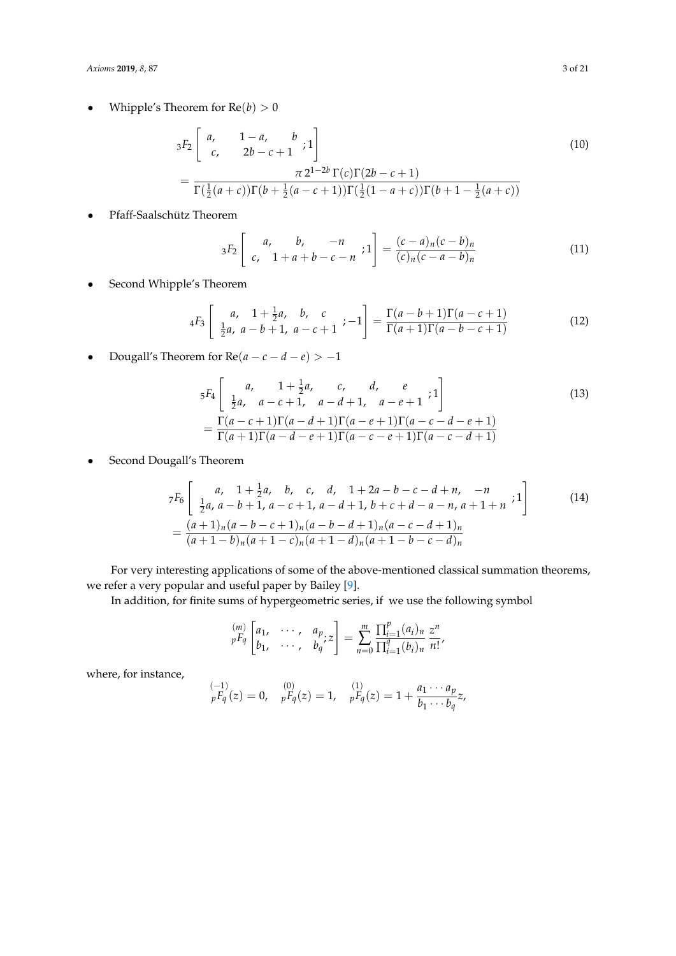• Whipple's Theorem for  $Re(b) > 0$ 

$$
{}_{3}F_{2}\left[\begin{array}{cc}a, & 1-a, & b \\ c, & 2b-c+1\end{array};1\right] \qquad (10)
$$

$$
=\frac{\pi 2^{1-2b}\Gamma(c)\Gamma(2b-c+1)}{\Gamma(\frac{1}{2}(a+c))\Gamma(b+\frac{1}{2}(a-c+1))\Gamma(\frac{1}{2}(1-a+c))\Gamma(b+1-\frac{1}{2}(a+c))}
$$

• Pfaff-Saalschütz Theorem

<span id="page-2-1"></span>
$$
{}_3F_2\left[\begin{array}{cc}a, & b, & -n \\ c, & 1+a+b-c-n \end{array}; 1\right] = \frac{(c-a)_n(c-b)_n}{(c)_n(c-a-b)_n}
$$
(11)

• Second Whipple's Theorem

$$
{}_{4}F_{3}\left[\begin{array}{cc}a, & 1+\frac{1}{2}a, & b, & c\\ \frac{1}{2}a, & a-b+1, & a-c+1\end{array}; -1\right] = \frac{\Gamma(a-b+1)\Gamma(a-c+1)}{\Gamma(a+1)\Gamma(a-b-c+1)}
$$
(12)

• Dougall's Theorem for  $Re(a - c - d - e) > -1$ 

$$
5F_4\begin{bmatrix} a, & 1+\frac{1}{2}a, & c, & d, & e \\ \frac{1}{2}a, & a-c+1, & a-d+1, & a-e+1 \end{bmatrix} \begin{bmatrix} 1 \\ 2 \end{bmatrix}
$$
  
= 
$$
\frac{\Gamma(a-c+1)\Gamma(a-d+1)\Gamma(a-e+1)\Gamma(a-c-d-e+1)}{\Gamma(a+1)\Gamma(a-d-e+1)\Gamma(a-c-e+1)\Gamma(a-c-d+1)}
$$
 (13)

• Second Dougall's Theorem

$$
7F_6\begin{bmatrix} a, & 1+\frac{1}{2}a, & b, & c, & d, & 1+2a-b-c-d+n, & -n \\ \frac{1}{2}a, & a-b+1, & a-c+1, & a-d+1, & b+c+d-a-n, & a+1+n \\ \end{bmatrix}
$$
 (14)  
= 
$$
\frac{(a+1)_n(a-b-c+1)_n(a-b-d+1)_n(a-c-d+1)_n}{(a+1-b)_n(a+1-c)_n(a+1-d)_n(a+1-b-c-d)_n}
$$

For very interesting applications of some of the above-mentioned classical summation theorems, we refer a very popular and useful paper by Bailey [\[9\]](#page-19-7).

In addition, for finite sums of hypergeometric series, if we use the following symbol

<span id="page-2-0"></span>
$$
\begin{bmatrix} {m} \\ {p}F_{q} \end{bmatrix} \begin{bmatrix} {a}_{1}, & {\cdots}, & {a}_{p} \\ {b}_{1}, & {\cdots}, & {b}_{q} \end{bmatrix} = \sum_{n=0}^{m} \frac{\prod_{i=1}^{p} (a_{i})_{n}}{\prod_{i=1}^{q} (b_{i})_{n}} \frac{z^{n}}{n!},
$$

where, for instance,

$$
\bigg| \begin{array}{ll} (-1) & (0) \\ pF_q(z) = 0 & pF_q(z) = 1, \quad pF_q(z) = 1 + \frac{a_1 \cdots a_p}{b_1 \cdots b_q} z, \end{array}
$$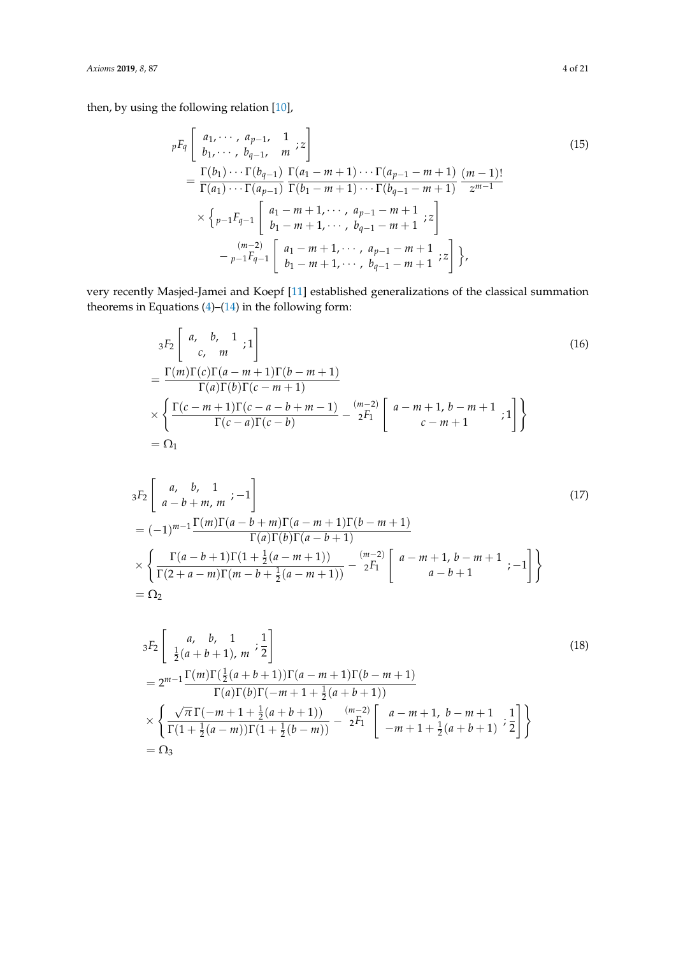then, by using the following relation [\[10\]](#page-19-8),

$$
{}_{p}F_{q}\left[\begin{array}{ll}a_{1},\cdots,a_{p-1},1\\b_{1},\cdots,b_{q-1},m\end{array} ;_{z}\right]
$$
\n
$$
=\frac{\Gamma(b_{1})\cdots\Gamma(b_{q-1})}{\Gamma(a_{1})\cdots\Gamma(a_{p-1})}\frac{\Gamma(a_{1}-m+1)\cdots\Gamma(a_{p-1}-m+1)}{\Gamma(b_{1}-m+1)\cdots\Gamma(b_{q-1}-m+1)}\frac{(m-1)!}{z^{m-1}}
$$
\n
$$
\times \left\{p_{-1}F_{q-1}\left[\begin{array}{ll}a_{1}-m+1,\cdots,a_{p-1}-m+1\\b_{1}-m+1,\cdots,b_{q-1}-m+1\end{array} ;_{z}\right] -\frac{(m-2)}{p-1}F_{q-1}\left[\begin{array}{ll}a_{1}-m+1,\cdots,a_{p-1}-m+1\\b_{1}-m+1,\cdots,b_{q-1}-m+1\end{array} ;_{z}\right]\right\},
$$
\n(15)

very recently Masjed-Jamei and Koepf [\[11\]](#page-19-9) established generalizations of the classical summation theorems in Equations  $(4)$ – $(14)$  in the following form:

<span id="page-3-0"></span>
$$
{}_{3}F_{2}\left[\begin{array}{cc} a, & b, & 1 \\ c, & m \end{array} ; 1\right]
$$
\n
$$
= \frac{\Gamma(m)\Gamma(c)\Gamma(a-m+1)\Gamma(b-m+1)}{\Gamma(a)\Gamma(b)\Gamma(c-m+1)}
$$
\n
$$
\times \left\{ \frac{\Gamma(c-m+1)\Gamma(c-a-b+m-1)}{\Gamma(c-a)\Gamma(c-b)} - \frac{(m-2)}{2} \left[a-m+1, b-m+1; 1\right] \right\}
$$
\n
$$
= \Omega_{1}
$$
\n(16)

<span id="page-3-1"></span>
$$
{}_{3}F_{2}\left[\begin{array}{cc} a, & b, & 1 \\ a-b+m, & m & -1 \end{array}\right]
$$
\n
$$
= (-1)^{m-1} \frac{\Gamma(m)\Gamma(a-b+m)\Gamma(a-m+1)\Gamma(b-m+1)}{\Gamma(a)\Gamma(b)\Gamma(a-b+1)}
$$
\n
$$
\times \left\{ \frac{\Gamma(a-b+1)\Gamma(1+\frac{1}{2}(a-m+1))}{\Gamma(2+a-m)\Gamma(m-b+\frac{1}{2}(a-m+1))} - \frac{(m-2)}{2} \left[a-m+1, & b-m+1 \\ a-b+1 & & -1 \right] \right\}
$$
\n
$$
= \Omega_{2}
$$
\n(17)

<span id="page-3-2"></span>
$$
{}_{3}F_{2}\left[\begin{array}{ll}\na, & b, & 1 \\
\frac{1}{2}(a+b+1), & m & \frac{1}{2}\n\end{array}\right]
$$
\n
$$
= 2^{m-1}\frac{\Gamma(m)\Gamma(\frac{1}{2}(a+b+1))\Gamma(a-m+1)\Gamma(b-m+1)}{\Gamma(a)\Gamma(b)\Gamma(-m+1+\frac{1}{2}(a+b+1))}
$$
\n
$$
\times \left\{\frac{\sqrt{\pi}\Gamma(-m+1+\frac{1}{2}(a+b+1))}{\Gamma(1+\frac{1}{2}(a-m))\Gamma(1+\frac{1}{2}(b-m))} - \frac{(m-2)}{2F_{1}}\left[\begin{array}{l}a-m+1, & b-m+1\\-m+1+\frac{1}{2}(a+b+1) & \frac{1}{2}\end{array}\right]\right\}
$$
\n
$$
= \Omega_{3}
$$
\n(18)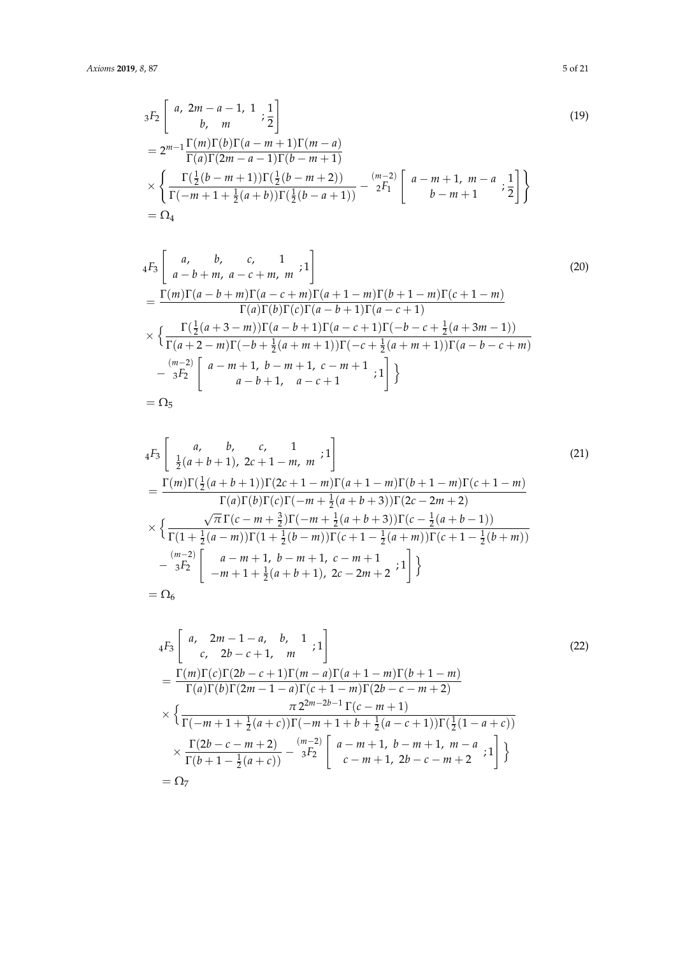<span id="page-4-0"></span>
$$
{}_{3}F_{2}\left[\begin{array}{c} a, 2m-a-1, 1; \frac{1}{2} \\ b, m \end{array} ; \frac{1}{2}\right]
$$
\n
$$
= 2^{m-1} \frac{\Gamma(m)\Gamma(b)\Gamma(a-m+1)\Gamma(m-a)}{\Gamma(a)\Gamma(2m-a-1)\Gamma(b-m+1)}
$$
\n
$$
\times \left\{ \frac{\Gamma(\frac{1}{2}(b-m+1))\Gamma(\frac{1}{2}(b-m+2))}{\Gamma(-m+1+\frac{1}{2}(a+b))\Gamma(\frac{1}{2}(b-a+1))} - \frac{(m-2)}{2} \left[a-m+1, m-a; \frac{1}{2}\right] \right\}
$$
\n
$$
= \Omega_{4}
$$
\n(19)

<span id="page-4-1"></span><sup>4</sup>*F*<sup>3</sup> " *a*, *b*, *c*, 1 *a* − *b* + *m*, *a* − *c* + *m*, *m* ; 1# (20) = Γ(*m*)Γ(*a* − *b* + *m*)Γ(*a* − *c* + *m*)Γ(*a* + 1 − *m*)Γ(*b* + 1 − *m*)Γ(*c* + 1 − *m*) Γ(*a*)Γ(*b*)Γ(*c*)Γ(*a* − *b* + 1)Γ(*a* − *c* + 1) × n Γ( 1 2 (*a* + 3 − *m*))Γ(*a* − *b* + 1)Γ(*a* − *c* + 1)Γ(−*b* − *c* + <sup>1</sup> 2 (*a* + 3*m* − 1)) Γ(*a* + 2 − *m*)Γ(−*b* + <sup>1</sup> 2 (*a* + *m* + 1))Γ(−*c* + <sup>1</sup> 2 (*a* + *m* + 1))Γ(*a* − *b* − *c* + *m*) − (*m*−2) <sup>3</sup>*F*<sup>2</sup> " *a* − *m* + 1, *b* − *m* + 1, *c* − *m* + 1 *a* − *b* + 1, *a* − *c* + 1 ; 1# o = Ω<sup>5</sup>

<span id="page-4-2"></span>
$$
{}_{4}F_{3}\left[\begin{array}{ll}a, & b, & c, & 1\\ \frac{1}{2}(a+b+1), & 2c+1-m, & m \end{array} ; 1\right]
$$
\n
$$
= \frac{\Gamma(m)\Gamma(\frac{1}{2}(a+b+1))\Gamma(2c+1-m)\Gamma(a+1-m)\Gamma(b+1-m)\Gamma(c+1-m)}{\Gamma(a)\Gamma(b)\Gamma(c)\Gamma(-m+\frac{1}{2}(a+b+3))\Gamma(2c-2m+2)}
$$
\n
$$
\times \left\{\frac{\sqrt{\pi}\Gamma(c-m+\frac{3}{2})\Gamma(-m+\frac{1}{2}(a+b+3))\Gamma(c-\frac{1}{2}(a+b-1))}{\Gamma(1+\frac{1}{2}(a-m))\Gamma(1+\frac{1}{2}(b-m))\Gamma(c+1-\frac{1}{2}(a+m))\Gamma(c+1-\frac{1}{2}(b+m))}\right.
$$
\n
$$
- \frac{(m-2)}{3F_{2}}\left[\begin{array}{ll}a-m+1, & b-m+1, & c-m+1\\-m+1+\frac{1}{2}(a+b+1), & 2c-2m+2 \end{array} ; 1\right]\right\}
$$
\n
$$
= \Omega_{6}
$$
\n(21)

<span id="page-4-3"></span>
$$
{}_{4}F_{3}\left[\begin{array}{cc} a, & 2m-1-a, & b, & 1 \\ c, & 2b-c+1, & m \end{array} ; 1\right]
$$
\n
$$
= \frac{\Gamma(m)\Gamma(c)\Gamma(2b-c+1)\Gamma(m-a)\Gamma(a+1-m)\Gamma(b+1-m)}{\Gamma(a)\Gamma(b)\Gamma(2m-1-a)\Gamma(c+1-m)\Gamma(2b-c-m+2)}
$$
\n
$$
\times \left\{\frac{\pi 2^{2m-2b-1}\Gamma(c-m+1)}{\Gamma(-m+1+\frac{1}{2}(a+c))\Gamma(-m+1+b+\frac{1}{2}(a-c+1))\Gamma(\frac{1}{2}(1-a+c))}\right\}
$$
\n
$$
\times \frac{\Gamma(2b-c-m+2)}{\Gamma(b+1-\frac{1}{2}(a+c))} - \frac{(m-2)}{3F_{2}}\left[\begin{array}{cc} a-m+1, & b-m+1, & m-a \\ c-m+1, & 2b-c-m+2 \end{array} ; 1\right] \right\}
$$
\n
$$
= \Omega_{7}
$$
\n(23)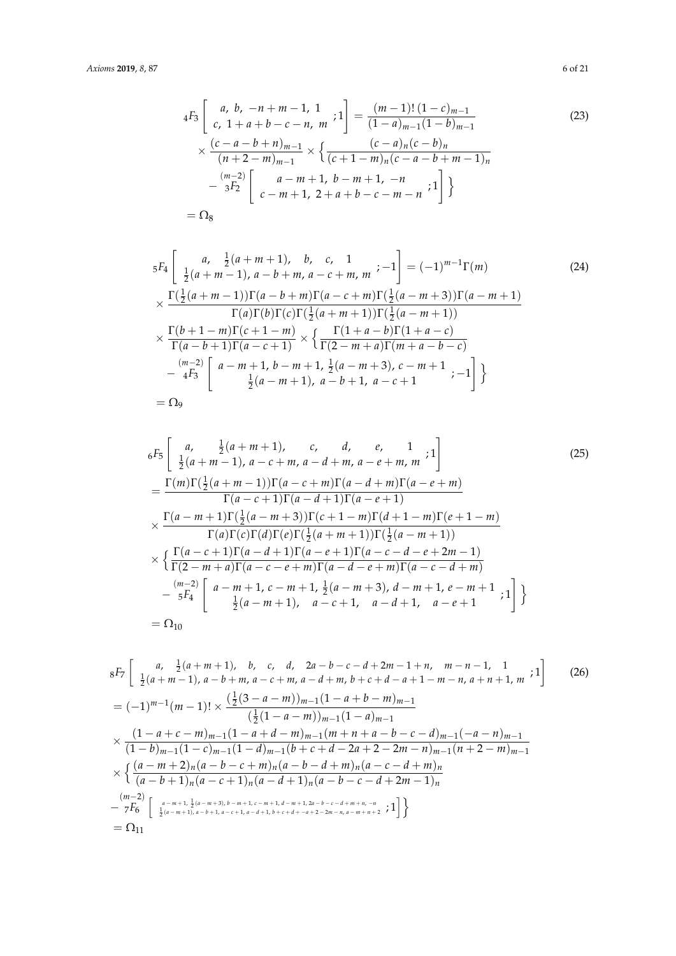$$
{}_{4}F_{3}\left[\begin{array}{cc}a, b, -n+m-1, 1\\c, 1+a+b-c-n, m\\(2a) \end{array} ; 1\right] = \frac{(m-1)!(1-c)_{m-1}}{(1-a)_{m-1}(1-b)_{m-1}} \tag{23}
$$
\n
$$
\times \frac{(c-a-b+n)_{m-1}}{(n+2-m)_{m-1}} \times \left\{ \frac{(c-a)_n(c-b)_n}{(c+1-m)_n(c-a-b+m-1)_n} - \frac{(m-2)}{3F_2} \left[\begin{array}{cc}a-m+1, b-m+1, -n\\c-m+1, 2+a+b-c-m-n\\(2a-1) & 1 \end{array} ; 1\right] \right\}
$$
\n
$$
= \Omega_{8}
$$

$$
{}_{5}F_{4}\left[\begin{array}{cc}a, & \frac{1}{2}(a+m+1), & b, & c, & 1\\ \frac{1}{2}(a+m-1), & a-b+m, & a-c+m, & m \end{array}; -1\right] = (-1)^{m-1}\Gamma(m) \tag{24}
$$
\n
$$
\times \frac{\Gamma(\frac{1}{2}(a+m-1))\Gamma(a-b+m)\Gamma(a-c+m)\Gamma(\frac{1}{2}(a-m+3))\Gamma(a-m+1)}{\Gamma(a)\Gamma(b)\Gamma(c)\Gamma(\frac{1}{2}(a+m+1))\Gamma(\frac{1}{2}(a-m+1))}
$$
\n
$$
\times \frac{\Gamma(b+1-m)\Gamma(c+1-m)}{\Gamma(a-b+1)\Gamma(a-c+1)} \times \left\{\frac{\Gamma(1+a-b)\Gamma(1+a-c)}{\Gamma(2-m+a)\Gamma(m+a-b-c)} - \frac{(m-2)}{4F_{3}}\left[a-m+1, & b-m+1, & \frac{1}{2}(a-m+3), & c-m+1, & -1\right] \right\}
$$
\n
$$
= \Omega_{9}
$$
\n(24)

$$
{}_{6}F_{5}\left[\begin{array}{cc}a, & \frac{1}{2}(a+m+1), & c, & d, & e, & 1\\ \frac{1}{2}(a+m-1), & a-c+m, & a-d+m, & a-e+m, & m \end{array}; 1\right]
$$
(25)  
= 
$$
\frac{\Gamma(m)\Gamma(\frac{1}{2}(a+m-1))\Gamma(a-c+m)\Gamma(a-d+m)\Gamma(a-e+m)}{\Gamma(a-c+1)\Gamma(a-d+1)\Gamma(a-e+1)}
$$
  

$$
\times \frac{\Gamma(a-m+1)\Gamma(\frac{1}{2}(a-m+3))\Gamma(c+1-m)\Gamma(d+1-m)\Gamma(e+1-m)}{\Gamma(a)\Gamma(c)\Gamma(d)\Gamma(c)\Gamma(\frac{1}{2}(a+m+1))\Gamma(\frac{1}{2}(a-m+1))}
$$
  

$$
\times \left\{\frac{\Gamma(a-c+1)\Gamma(a-d+1)\Gamma(a-e+1)\Gamma(a-c-d-e+2m-1)}{\Gamma(2-m+a)\Gamma(a-c-e+m)\Gamma(a-d-e+m)\Gamma(a-c-d+m)} - \frac{(m-2)}{5F_{4}}\left[\begin{array}{cc}a-m+1, & c-m+1, & \frac{1}{2}(a-m+3), & d-m+1, & e-m+1 \\ \frac{1}{2}(a-m+1), & a-c+1, & a-d+1, & a-e+1 \end{array}; 1\right] \right\}
$$
  
= 
$$
\Omega_{10}
$$
 (25)

<span id="page-5-0"></span>
$$
{}_{8}F_{7}\left[\begin{array}{cc} a, & \frac{1}{2}(a+m+1), & b, & c, & d, & 2a-b-c-d+2m-1+n, & m-n-1, & 1\\ \frac{1}{2}(a+m-1), & a-b+m, & a-c+m, & a-d+m, & b+c+d-a+1-m-n, & a+n+1, & m \end{array}; 1\right]
$$
(26)  
=  $(-1)^{m-1}(m-1)! \times \frac{(\frac{1}{2}(3-a-m))_{m-1}(1-a+b-m)_{m-1}}{(\frac{1}{2}(1-a-m))_{m-1}(1-a)_{m-1}}$   
 $\times \frac{(1-a+c-m)_{m-1}(1-a+d-m)_{m-1}(m+n+a-b-c-d)_{m-1}(-a-n)_{m-1}}{(1-b)_{m-1}(1-c)_{m-1}(1-d)_{m-1}(b+c+d-2a+2-2m-n)_{m-1}(n+2-m)_{m-1}}$   
 $\times \left\{\frac{(a-m+2)_n(a-b-c+m)_n(a-b-d+m)_n(a-c-d+m)_n}{(a-b+1)_n(a-c+1)_n(a-d+1)_n(a-b-c-d+2m-1)_n}\right\}$   
 $\xrightarrow{m-2} \left\{\frac{a-m+1, \frac{1}{2}(a-m+3), b-m+1, c-m+1, d-m+1, 2a-b-c-d+m+n, -n}{\frac{1}{2}(a-m+1), a-b+1, a-c+1, a-d+1, b+c+d-a+2-2m-n, a-m+n+2} ; 1\right\}\right\}$ 

<span id="page-5-3"></span><span id="page-5-2"></span><span id="page-5-1"></span>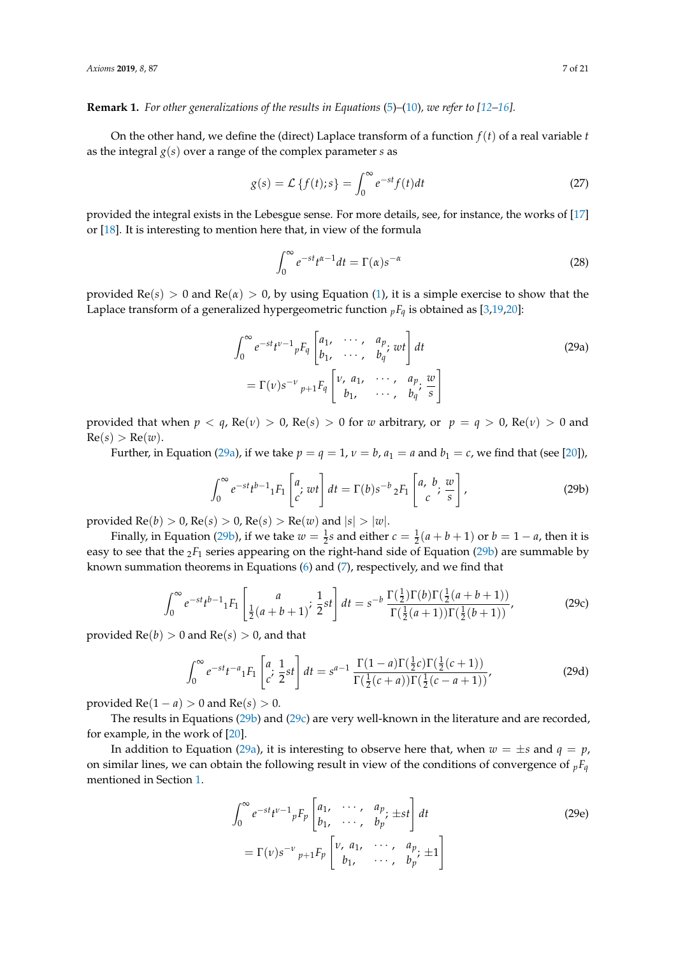**Remark 1.** *For other generalizations of the results in Equations* [\(5\)](#page-1-1)*–*[\(10\)](#page-2-1)*, we refer to [\[12–](#page-19-10)[16\]](#page-19-11).*

On the other hand, we define the (direct) Laplace transform of a function *f*(*t*) of a real variable *t* as the integral *g*(*s*) over a range of the complex parameter *s* as

$$
g(s) = \mathcal{L}\left\{f(t);s\right\} = \int_0^\infty e^{-st} f(t)dt\tag{27}
$$

provided the integral exists in the Lebesgue sense. For more details, see, for instance, the works of [\[17\]](#page-19-12) or [\[18\]](#page-19-13). It is interesting to mention here that, in view of the formula

<span id="page-6-0"></span>
$$
\int_0^\infty e^{-st} t^{\alpha - 1} dt = \Gamma(\alpha) s^{-\alpha}
$$
\n(28)

provided  $\text{Re}(s) > 0$  and  $\text{Re}(\alpha) > 0$ , by using Equation [\(1\)](#page-0-0), it is a simple exercise to show that the Laplace transform of a generalized hypergeometric function  $pF_q$  is obtained as [\[3,](#page-19-14)[19](#page-19-15)[,20\]](#page-19-16):

$$
\int_0^\infty e^{-st} t^{\nu-1} {}_pF_q \begin{bmatrix} a_1, & \cdots, & a_p \\ b_1, & \cdots, & b_q \end{bmatrix} dt
$$
\n
$$
= \Gamma(\nu) s^{-\nu} {}_{p+1}F_q \begin{bmatrix} \nu, & a_1, & \cdots, & a_p \\ b_1, & \cdots, & b_q \end{bmatrix} \tag{29a}
$$

provided that when  $p < q$ , Re( $v$ ) > 0, Re( $s$ ) > 0 for *w* arbitrary, or  $p = q > 0$ , Re( $v$ ) > 0 and  $Re(s) > Re(w)$ .

Further, in Equation [\(29a\)](#page-6-0), if we take  $p = q = 1$ ,  $v = b$ ,  $a_1 = a$  and  $b_1 = c$ , we find that (see [\[20\]](#page-19-16)),

<span id="page-6-2"></span><span id="page-6-1"></span>
$$
\int_0^\infty e^{-st} t^{b-1} {}_1F_1\left[\begin{matrix} a\\ c \end{matrix}; wt\right] dt = \Gamma(b) s^{-b} {}_2F_1\left[\begin{matrix} a, b\\ c \end{matrix}; \frac{w}{s}\right],\tag{29b}
$$

provided  $Re(b) > 0$ ,  $Re(s) > 0$ ,  $Re(s) > Re(w)$  and  $|s| > |w|$ .

Finally, in Equation [\(29b\)](#page-6-1), if we take  $w = \frac{1}{2}s$  and either  $c = \frac{1}{2}(a+b+1)$  or  $b = 1-a$ , then it is easy to see that the <sub>2</sub>*F*<sub>1</sub> series appearing on the right-hand side of Equation [\(29b\)](#page-6-1) are summable by known summation theorems in Equations [\(6\)](#page-1-2) and [\(7\)](#page-1-3), respectively, and we find that

$$
\int_0^\infty e^{-st} t^{b-1} {}_1F_1 \left[ \frac{a}{\frac{1}{2}(a+b+1)}; \frac{1}{2} st \right] dt = s^{-b} \frac{\Gamma(\frac{1}{2}) \Gamma(b) \Gamma(\frac{1}{2}(a+b+1))}{\Gamma(\frac{1}{2}(a+1)) \Gamma(\frac{1}{2}(b+1))},
$$
(29c)

provided  $Re(b) > 0$  and  $Re(s) > 0$ , and that

$$
\int_0^\infty e^{-st} t^{-a} {}_1F_1 \left[ \begin{array}{c} a \\ c \end{array} ; \frac{1}{2} st \right] dt = s^{a-1} \frac{\Gamma(1-a)\Gamma(\frac{1}{2}c)\Gamma(\frac{1}{2}(c+1))}{\Gamma(\frac{1}{2}(c+a))\Gamma(\frac{1}{2}(c-a+1))},\tag{29d}
$$

provided  $Re(1 - a) > 0$  and  $Re(s) > 0$ .

The results in Equations [\(29b\)](#page-6-1) and [\(29c\)](#page-6-2) are very well-known in the literature and are recorded, for example, in the work of [\[20\]](#page-19-16).

In addition to Equation [\(29a\)](#page-6-0), it is interesting to observe here that, when  $w = \pm s$  and  $q = p$ , on similar lines, we can obtain the following result in view of the conditions of convergence of  $pF_q$ mentioned in Section [1.](#page-0-1)

<span id="page-6-3"></span>
$$
\int_0^\infty e^{-st} t^{\nu-1} {}_pF_p \begin{bmatrix} a_1, & \cdots, & a_p \\ b_1, & \cdots, & b_p \end{bmatrix} dt
$$
\n
$$
= \Gamma(\nu) s^{-\nu} {}_{p+1}F_p \begin{bmatrix} \nu, & a_1, & \cdots, & a_p \\ b_1, & \cdots, & b_p \end{bmatrix} \tag{29e}
$$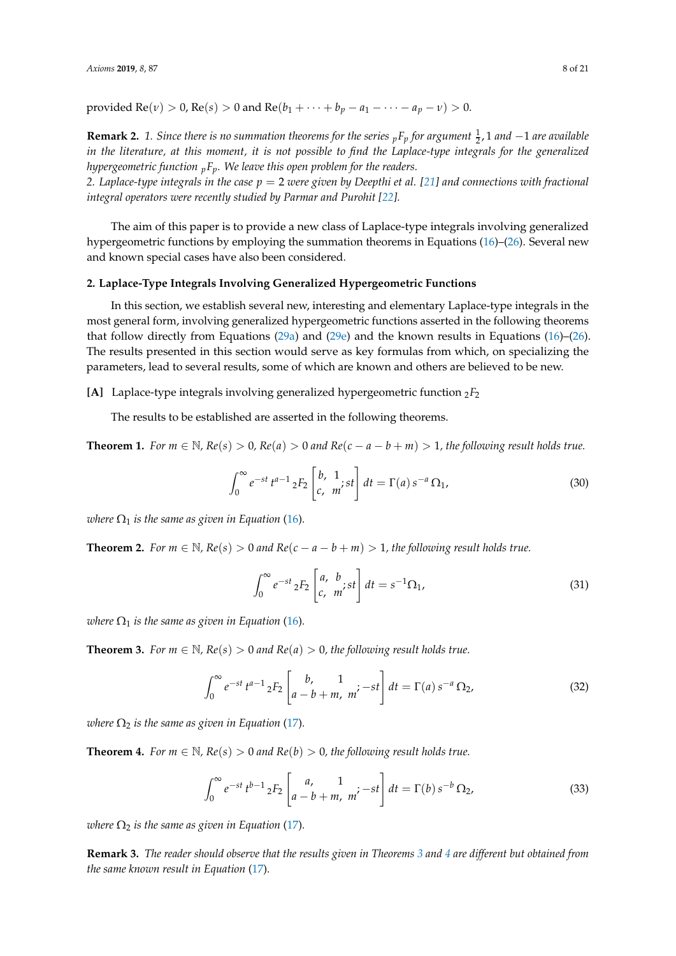provided Re(*v*) > 0, Re(*s*) > 0 and Re(*b*<sub>1</sub> + · · · + *b*<sub>*p*</sub> − *a*<sub>1</sub> − · · · − *a*<sub>*p*</sub> − *v*) > 0.

**Remark 2.** 1. Since there is no summation theorems for the series  $_pF_p$  for argument  $\frac{1}{2}$ , 1 and  $-1$  are available *in the literature, at this moment, it is not possible to find the Laplace-type integrals for the generalized hypergeometric function <sup>p</sup>Fp. We leave this open problem for the readers.*

*2. Laplace-type integrals in the case p* = 2 *were given by Deepthi et al. [\[21\]](#page-19-17) and connections with fractional integral operators were recently studied by Parmar and Purohit [\[22\]](#page-19-18)*.

The aim of this paper is to provide a new class of Laplace-type integrals involving generalized hypergeometric functions by employing the summation theorems in Equations [\(16\)](#page-3-0)–[\(26\)](#page-5-0). Several new and known special cases have also been considered.

#### **2. Laplace-Type Integrals Involving Generalized Hypergeometric Functions**

In this section, we establish several new, interesting and elementary Laplace-type integrals in the most general form, involving generalized hypergeometric functions asserted in the following theorems that follow directly from Equations [\(29a\)](#page-6-0) and [\(29e\)](#page-6-3) and the known results in Equations [\(16\)](#page-3-0)–[\(26\)](#page-5-0). The results presented in this section would serve as key formulas from which, on specializing the parameters, lead to several results, some of which are known and others are believed to be new.

### **[A]** Laplace-type integrals involving generalized hypergeometric function  ${}_{2}F_{2}$

The results to be established are asserted in the following theorems.

<span id="page-7-3"></span>**Theorem 1.** *For*  $m \in \mathbb{N}$ ,  $Re(s) > 0$ ,  $Re(a) > 0$  and  $Re(c - a - b + m) > 1$ , the following result holds true.

$$
\int_0^\infty e^{-st} t^{a-1} {}_2F_2 \left[ \begin{array}{cc} b, & 1 \\ c, & m \end{array} \right] dt = \Gamma(a) s^{-a} \Omega_1,
$$
\n(30)

*where*  $\Omega_1$  *is the same as given in Equation* [\(16\)](#page-3-0)*.* 

<span id="page-7-5"></span>**Theorem 2.** *For m* ∈  $\mathbb{N}$ *, Re*(*s*) > 0 *and Re*(*c* − *a* − *b* + *m*) > 1*, the following result holds true.* 

<span id="page-7-4"></span><span id="page-7-2"></span>
$$
\int_0^\infty e^{-st} {}_2F_2 \left[ \begin{array}{cc} a, & b \\ c, & m \end{array} ; st \right] dt = s^{-1} \Omega_1,
$$
\n(31)

*where*  $\Omega_1$  *is the same as given in Equation* [\(16\)](#page-3-0).

<span id="page-7-0"></span>**Theorem 3.** *For*  $m \in \mathbb{N}$ ,  $Re(s) > 0$  *and*  $Re(a) > 0$ , *the following result holds true.* 

$$
\int_0^\infty e^{-st} t^{a-1} {}_2F_2 \left[ \begin{array}{cc} b, & 1 \\ a-b+m, & m \end{array} \right] dt = \Gamma(a) s^{-a} \Omega_2,
$$
 (32)

*where*  $\Omega_2$  *is the same as given in Equation* [\(17\)](#page-3-1).

<span id="page-7-1"></span>**Theorem 4.** *For*  $m \in \mathbb{N}$ *,*  $Re(s) > 0$  *and*  $Re(b) > 0$ *, the following result holds true.* 

$$
\int_0^\infty e^{-st} t^{b-1} {}_2F_2 \left[ \begin{array}{cc} a, & 1 \\ a-b+m, & m \end{array} \right] dt = \Gamma(b) s^{-b} \Omega_2,
$$
 (33)

*where*  $\Omega_2$  *is the same as given in Equation* [\(17\)](#page-3-1).

**Remark 3.** *The reader should observe that the results given in Theorems [3](#page-7-0) and [4](#page-7-1) are different but obtained from the same known result in Equation* [\(17\)](#page-3-1)*.*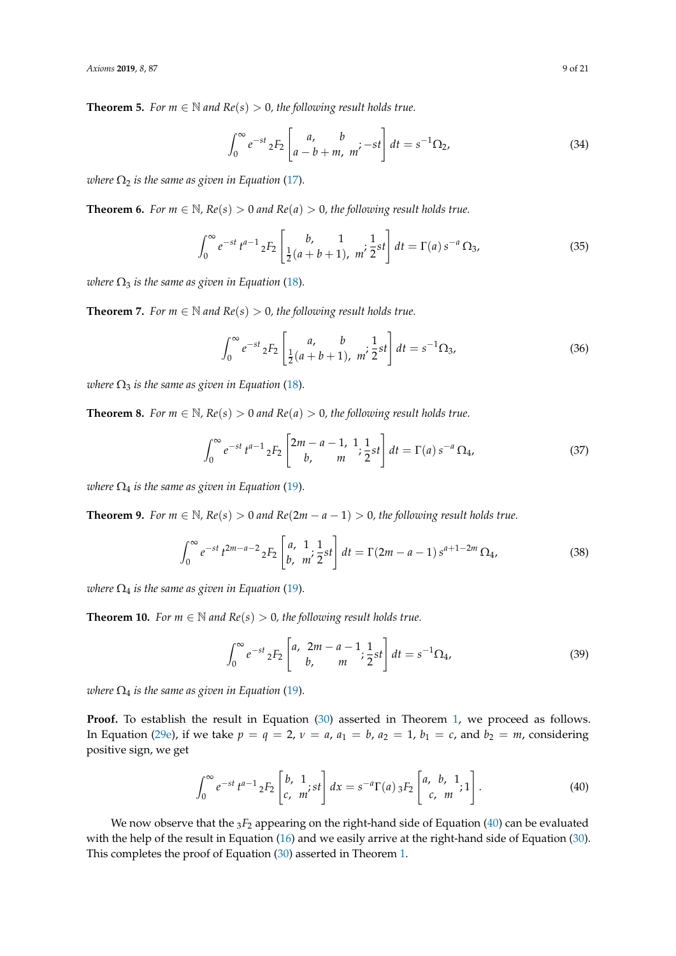<span id="page-8-4"></span>**Theorem 5.** *For*  $m \in \mathbb{N}$  *and*  $Re(s) > 0$ *, the following result holds true.* 

$$
\int_0^\infty e^{-st} {}_2F_2 \left[ \begin{array}{cc} a, & b \\ a - b + m, & m' \end{array} - st \right] dt = s^{-1} \Omega_2,
$$
\n(34)

*where*  $\Omega_2$  *is the same as given in Equation* [\(17\)](#page-3-1).

<span id="page-8-5"></span>**Theorem 6.** *For m*  $\in$  N,  $Re(s) > 0$  *and*  $Re(a) > 0$ , the following result holds true.

$$
\int_0^\infty e^{-st} t^{a-1} \, {}_2F_2 \left[ \frac{b}{\frac{1}{2}(a+b+1)}, \, \frac{1}{m'} \frac{1}{2} st \right] dt = \Gamma(a) \, s^{-a} \, \Omega_3,\tag{35}
$$

*where*  $\Omega_3$  *is the same as given in Equation* [\(18\)](#page-3-2).

<span id="page-8-3"></span>**Theorem 7.** *For*  $m \in \mathbb{N}$  *and*  $Re(s) > 0$ *, the following result holds true.* 

$$
\int_0^\infty e^{-st} \, {}_2F_2 \left[ \frac{a}{\frac{1}{2}(a+b+1)}, \, \frac{b}{m'} \frac{1}{2} st \right] dt = s^{-1} \Omega_3,\tag{36}
$$

*where*  $\Omega_3$  *is the same as given in Equation* [\(18\)](#page-3-2).

<span id="page-8-6"></span>**Theorem 8.** *For*  $m \in \mathbb{N}$ *,*  $Re(s) > 0$  *and*  $Re(a) > 0$ *, the following result holds true.* 

$$
\int_0^\infty e^{-st} t^{a-1} {}_2F_2 \left[ \begin{array}{cc} 2m-a-1, & 1 \\ b, & m \end{array} ; \frac{1}{2} st \right] dt = \Gamma(a) s^{-a} \Omega_4,\tag{37}
$$

*where*  $\Omega_4$  *is the same as given in Equation* [\(19\)](#page-4-0).

<span id="page-8-7"></span>**Theorem 9.** *For m*  $\in \mathbb{N}$ *, Re*(*s*) > 0 *and Re*(2*m* − *a* − 1) > 0*, the following result holds true.* 

$$
\int_0^\infty e^{-st} t^{2m-a-2} {}_2F_2 \left[ \begin{array}{cc} a, & 1 \\ b, & m' \end{array} \frac{1}{2} st \right] dt = \Gamma(2m-a-1) s^{a+1-2m} \Omega_4,\tag{38}
$$

*where*  $\Omega_4$  *is the same as given in Equation* [\(19\)](#page-4-0).

<span id="page-8-2"></span>**Theorem 10.** *For*  $m \in \mathbb{N}$  *and*  $Re(s) > 0$ *, the following result holds true.* 

<span id="page-8-1"></span><span id="page-8-0"></span>
$$
\int_0^\infty e^{-st} {}_2F_2 \left[ \begin{array}{cc} a, & 2m - a - 1 \\ b, & m \end{array}; \frac{1}{2} st \right] dt = s^{-1} \Omega_4,\tag{39}
$$

*where*  $\Omega_4$  *is the same as given in Equation* [\(19\)](#page-4-0).

**Proof.** To establish the result in Equation [\(30\)](#page-7-2) asserted in Theorem [1,](#page-7-3) we proceed as follows. In Equation [\(29e\)](#page-6-3), if we take  $p = q = 2$ ,  $v = a$ ,  $a_1 = b$ ,  $a_2 = 1$ ,  $b_1 = c$ , and  $b_2 = m$ , considering positive sign, we get

$$
\int_0^\infty e^{-st} t^{a-1} {}_2F_2 \left[ \begin{array}{c} b, & 1 \\ c, & m \end{array} ; st \right] dx = s^{-a} \Gamma(a) {}_3F_2 \left[ \begin{array}{c} a, & b, & 1 \\ c, & m \end{array} ; 1 \right]. \tag{40}
$$

We now observe that the  $_3F_2$  appearing on the right-hand side of Equation [\(40\)](#page-8-0) can be evaluated with the help of the result in Equation [\(16\)](#page-3-0) and we easily arrive at the right-hand side of Equation [\(30\)](#page-7-2). This completes the proof of Equation [\(30\)](#page-7-2) asserted in Theorem [1.](#page-7-3)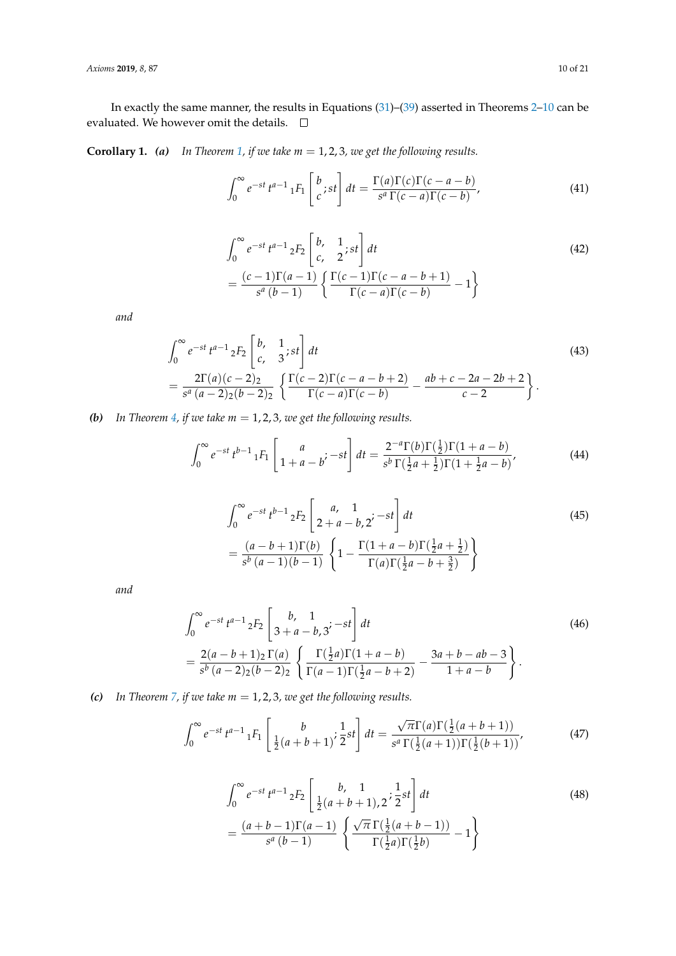In exactly the same manner, the results in Equations [\(31\)](#page-7-4)–[\(39\)](#page-8-1) asserted in Theorems [2](#page-7-5)[–10](#page-8-2) can be evaluated. We however omit the details.  $\quad \Box$ 

**Corollary 1.** *(a) In Theorem [1,](#page-7-3) if we take m* = 1, 2, 3*, we get the following results.*

$$
\int_0^\infty e^{-st} t^{a-1} \, 1F_1 \left[ \frac{b}{c} ; st \right] dt = \frac{\Gamma(a)\Gamma(c)\Gamma(c-a-b)}{s^a \Gamma(c-a)\Gamma(c-b)},\tag{41}
$$

$$
\int_0^{\infty} e^{-st} t^{a-1} {}_{2}F_2 \left[ \begin{array}{cc} b, & 1 \\ c, & 2 \end{array} ; st \right] dt
$$
\n
$$
= \frac{(c-1)\Gamma(a-1)}{s^a (b-1)} \left\{ \frac{\Gamma(c-1)\Gamma(c-a-b+1)}{\Gamma(c-a)\Gamma(c-b)} - 1 \right\}
$$
\n(42)

*and*

$$
\int_0^\infty e^{-st} t^{a-1} {}_2F_2 \left[ \begin{array}{cc} b, & 1 \\ c, & 3 \end{array} ; st \right] dt
$$
\n
$$
= \frac{2\Gamma(a)(c-2)_2}{s^a (a-2)_2 (b-2)_2} \left\{ \frac{\Gamma(c-2)\Gamma(c-a-b+2)}{\Gamma(c-a)\Gamma(c-b)} - \frac{ab+c-2a-2b+2}{c-2} \right\}.
$$
\n(43)

*(b) In Theorem [4,](#page-7-1) if we take m* = 1, 2, 3*, we get the following results.*

$$
\int_0^\infty e^{-st} t^{b-1} 1F_1 \left[ \frac{a}{1+a-b}, -st \right] dt = \frac{2^{-a} \Gamma(b) \Gamma(\frac{1}{2}) \Gamma(1+a-b)}{s^b \Gamma(\frac{1}{2}a + \frac{1}{2}) \Gamma(1+\frac{1}{2}a-b)},\tag{44}
$$

$$
\int_0^\infty e^{-st} t^{b-1} {}_{2}F_2 \left[ \begin{array}{cc} a, & 1 \\ 2+a-b, & 2 \end{array} \right] dt
$$
\n
$$
= \frac{(a-b+1)\Gamma(b)}{s^b (a-1)(b-1)} \left\{ 1 - \frac{\Gamma(1+a-b)\Gamma(\frac{1}{2}a+\frac{1}{2})}{\Gamma(a)\Gamma(\frac{1}{2}a-b+\frac{3}{2})} \right\}
$$
\n(45)

*and*

$$
\int_0^\infty e^{-st} t^{a-1} {}_2F_2 \left[ \begin{array}{cc} b, & 1 \\ 3+a-b, & 3 \end{array} \right] dt
$$
\n
$$
= \frac{2(a-b+1){}_2 \Gamma(a)}{s^b (a-2){}_2 (b-2){}_2} \left\{ \frac{\Gamma(\frac{1}{2}a) \Gamma(1+a-b)}{\Gamma(a-1) \Gamma(\frac{1}{2}a-b+2)} - \frac{3a+b-ab-3}{1+a-b} \right\}.
$$
\n(46)

*(c) In Theorem [7,](#page-8-3) if we take m* = 1, 2, 3*, we get the following results.*

$$
\int_0^\infty e^{-st} t^{a-1} \, {}_1F_1 \left[ \frac{b}{\frac{1}{2}(a+b+1)}; \frac{1}{2}st \right] dt = \frac{\sqrt{\pi} \Gamma(a) \Gamma(\frac{1}{2}(a+b+1))}{s^a \Gamma(\frac{1}{2}(a+1)) \Gamma(\frac{1}{2}(b+1))},\tag{47}
$$

<span id="page-9-0"></span>
$$
\int_0^\infty e^{-st} t^{a-1} {}_2F_2 \left[ \frac{b}{\frac{1}{2}(a+b+1)}, \frac{1}{2} st \right] dt
$$
\n
$$
= \frac{(a+b-1)\Gamma(a-1)}{s^a (b-1)} \left\{ \frac{\sqrt{\pi} \Gamma(\frac{1}{2}(a+b-1))}{\Gamma(\frac{1}{2}a)\Gamma(\frac{1}{2}b)} - 1 \right\}
$$
\n(48)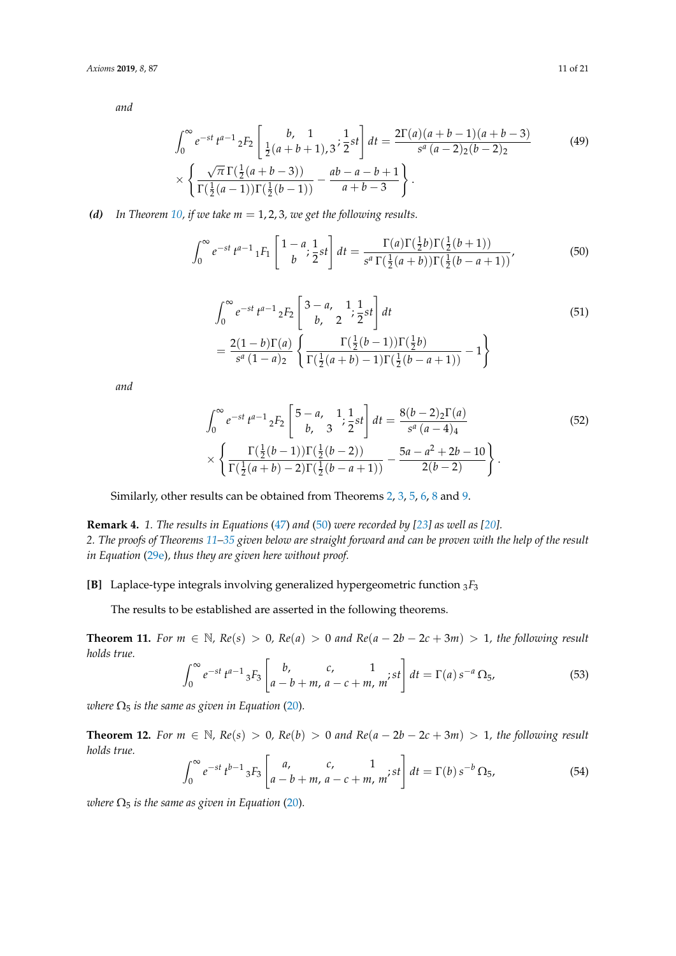*and*

$$
\int_0^\infty e^{-st} t^{a-1} {}_2F_2 \left[ \frac{b}{\frac{1}{2}(a+b+1)}, \frac{1}{2} st \right] dt = \frac{2\Gamma(a)(a+b-1)(a+b-3)}{s^a (a-2)_{2}(b-2)_{2}} \times \left\{ \frac{\sqrt{\pi} \Gamma(\frac{1}{2}(a+b-3))}{\Gamma(\frac{1}{2}(a-1))\Gamma(\frac{1}{2}(b-1))} - \frac{ab-a-b+1}{a+b-3} \right\}.
$$
\n(49)

*(d) In Theorem [10,](#page-8-2) if we take m* = 1, 2, 3*, we get the following results.*

$$
\int_0^\infty e^{-st} t^{a-1} {}_1F_1 \left[ \frac{1-a}{b} ; \frac{1}{2} st \right] dt = \frac{\Gamma(a)\Gamma(\frac{1}{2}b)\Gamma(\frac{1}{2}(b+1))}{s^a \Gamma(\frac{1}{2}(a+b))\Gamma(\frac{1}{2}(b-a+1))},
$$
(50)

<span id="page-10-0"></span>
$$
\int_0^{\infty} e^{-st} t^{a-1} {}_{2}F_2 \left[ \begin{array}{cc} 3-a, & 1 \ 1 \ 2, & 2 \end{array} \frac{1}{2} st \right] dt
$$
\n
$$
= \frac{2(1-b)\Gamma(a)}{s^a (1-a)_2} \left\{ \frac{\Gamma(\frac{1}{2}(b-1))\Gamma(\frac{1}{2}b)}{\Gamma(\frac{1}{2}(a+b)-1)\Gamma(\frac{1}{2}(b-a+1))} - 1 \right\}
$$
\n(51)

*and*

$$
\int_0^\infty e^{-st} t^{a-1} {}_2F_2 \left[ \begin{array}{c} 5-a, & 1 \\ b, & 3 \end{array} ; \frac{1}{2} st \right] dt = \frac{8(b-2){}_2\Gamma(a)}{s^a (a-4)_4} \times \left\{ \frac{\Gamma(\frac{1}{2}(b-1))\Gamma(\frac{1}{2}(b-2))}{\Gamma(\frac{1}{2}(a+b)-2)\Gamma(\frac{1}{2}(b-a+1))} - \frac{5a-a^2+2b-10}{2(b-2)} \right\}.
$$
\n
$$
(52)
$$

Similarly, other results can be obtained from Theorems [2,](#page-7-5) [3,](#page-7-0) [5,](#page-8-4) [6,](#page-8-5) [8](#page-8-6) and [9.](#page-8-7)

**Remark 4.** *1. The results in Equations* [\(47\)](#page-9-0) *and* [\(50\)](#page-10-0) *were recorded by [\[23\]](#page-20-0) as well as [\[20\]](#page-19-16). 2. The proofs of Theorems [11–](#page-10-1)[35](#page-17-0) given below are straight forward and can be proven with the help of the result in Equation* [\(29e\)](#page-6-3)*, thus they are given here without proof.*

**[B]** Laplace-type integrals involving generalized hypergeometric function  ${}_{3}F_{3}$ 

The results to be established are asserted in the following theorems.

<span id="page-10-1"></span>**Theorem 11.** *For m* ∈  $\mathbb{N}$ *,*  $Re(s) > 0$ *,*  $Re(a) > 0$  *and*  $Re(a - 2b - 2c + 3m) > 1$ *, the following result holds true.*  $\mathbf{r}$ 

$$
\int_0^\infty e^{-st} t^{a-1} {}_3F_3 \left[ \begin{array}{cc} b, & c, & 1 \\ a-b+m, & a-c+m, & m \end{array} \right] dt = \Gamma(a) s^{-a} \Omega_5, \tag{53}
$$

*where*  $\Omega_5$  *is the same as given in Equation* [\(20\)](#page-4-1)*.* 

**Theorem 12.** *For m* ∈ N,  $Re(s) > 0$ ,  $Re(b) > 0$  *and*  $Re(a - 2b - 2c + 3m) > 1$ , the following result *holds true.* .<br>-

$$
\int_0^\infty e^{-st} t^{b-1} \, {}_3F_3 \left[ \begin{array}{cc} a, & c, & 1 \\ a-b+m, & a-c+m, & m \end{array} \right] dt = \Gamma(b) \, s^{-b} \, \Omega_5,\tag{54}
$$

*where*  $\Omega_5$  *is the same as given in Equation* [\(20\)](#page-4-1).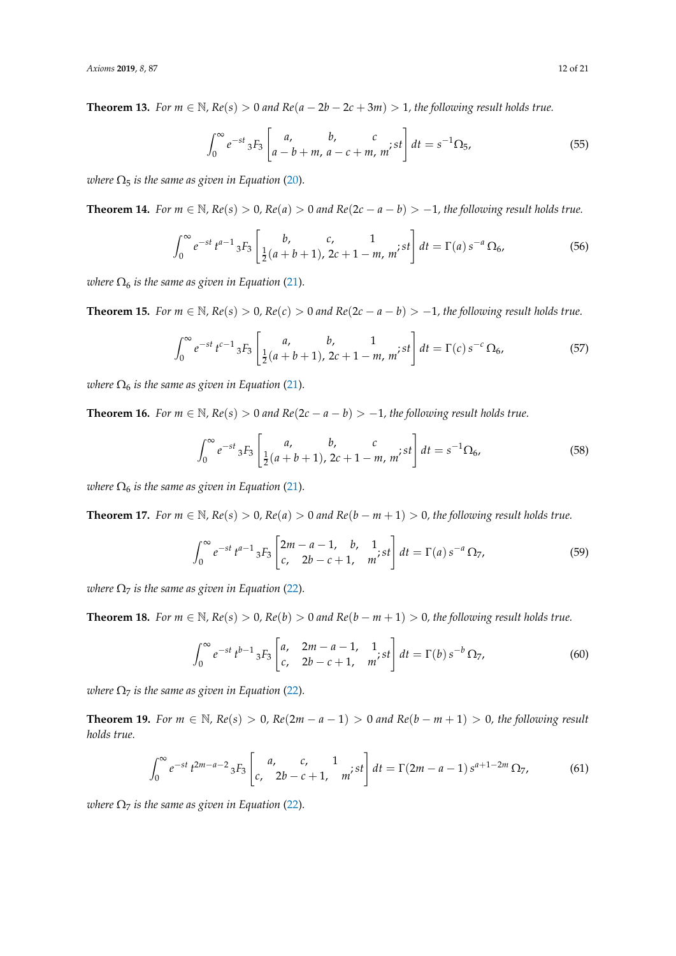**Theorem 13.** *For*  $m \in \mathbb{N}$ ,  $Re(s) > 0$  *and*  $Re(a - 2b - 2c + 3m) > 1$ , the following result holds true.

$$
\int_0^\infty e^{-st} {}_3F_3 \left[ \begin{array}{cc} a, & b, & c \\ a - b + m, & a - c + m, & m' \end{array} ; st \right] dt = s^{-1} \Omega_5,
$$
 (55)

*where*  $\Omega_5$  *is the same as given in Equation* [\(20\)](#page-4-1).

<span id="page-11-0"></span>**Theorem 14.** *For m* ∈ N,  $Re(s) > 0$ ,  $Re(a) > 0$  *and*  $Re(2c - a - b) > -1$ , the following result holds true.

$$
\int_0^\infty e^{-st} t^{a-1} \, {}_3F_3\left[\frac{b}{\frac{1}{2}(a+b+1)}, \frac{c}{2c+1-m}, \frac{1}{m}; st\right] dt = \Gamma(a) \, s^{-a} \, \Omega_6,\tag{56}
$$

*where*  $\Omega_6$  *is the same as given in Equation* [\(21\)](#page-4-2).

**Theorem 15.** *For m* ∈ N,  $Re(s) > 0$ ,  $Re(c) > 0$  *and*  $Re(2c - a - b) > -1$ , the following result holds true.

$$
\int_0^\infty e^{-st} t^{c-1} \, {}_3F_3\left[\frac{a}{\frac{1}{2}(a+b+1)}, \frac{b}{2c+1-m}, \frac{1}{m'}st\right] dt = \Gamma(c) \, s^{-c} \, \Omega_6,\tag{57}
$$

*where*  $\Omega_6$  *is the same as given in Equation* [\(21\)](#page-4-2).

**Theorem 16.** *For*  $m \in \mathbb{N}$ *,*  $Re(s) > 0$  *and*  $Re(2c - a - b) > -1$ *, the following result holds true.* 

$$
\int_0^\infty e^{-st} {}_3F_3\left[\frac{a}{\frac{1}{2}(a+b+1)}, \frac{c}{2c+1-m}, m; st\right] dt = s^{-1}\Omega_6,\tag{58}
$$

*where*  $\Omega_6$  *is the same as given in Equation* [\(21\)](#page-4-2).

<span id="page-11-1"></span>**Theorem 17.** *For m* ∈ N*, Re*(*s*) > 0*, Re*(*a*) > 0 *and Re*(*b* − *m* + 1) > 0*, the following result holds true.*

$$
\int_0^\infty e^{-st} t^{a-1} {}_3F_3 \begin{bmatrix} 2m-a-1, & b, & 1 \\ c, & 2b-c+1, & m \end{bmatrix} dt = \Gamma(a) s^{-a} \Omega_7,
$$
 (59)

*where*  $\Omega$ <sub>7</sub> *is the same as given in Equation* [\(22\)](#page-4-3).

**Theorem 18.** *For*  $m \in \mathbb{N}$ *,*  $Re(s) > 0$ *,*  $Re(b) > 0$  *and*  $Re(b - m + 1) > 0$ *, the following result holds true.* 

$$
\int_0^\infty e^{-st} t^{b-1} {}_3F_3 \begin{bmatrix} a, & 2m-a-1, & 1 \\ c, & 2b-c+1, & m \end{bmatrix} dt = \Gamma(b) s^{-b} \Omega_7,
$$
 (60)

*where*  $\Omega$ <sub>7</sub> *is the same as given in Equation* [\(22\)](#page-4-3).

**Theorem 19.** *For*  $m \in \mathbb{N}$ ,  $Re(s) > 0$ ,  $Re(2m - a - 1) > 0$  and  $Re(b - m + 1) > 0$ , the following result *holds true.*

$$
\int_0^\infty e^{-st} t^{2m-a-2} {}_3F_3 \left[ \begin{array}{cc} a, & c, & 1 \\ c, & 2b - c + 1, & m \end{array} \right] dt = \Gamma(2m - a - 1) s^{a+1-2m} \Omega_7,
$$
 (61)

*where*  $\Omega$ <sub>7</sub> *is the same as given in Equation* [\(22\)](#page-4-3).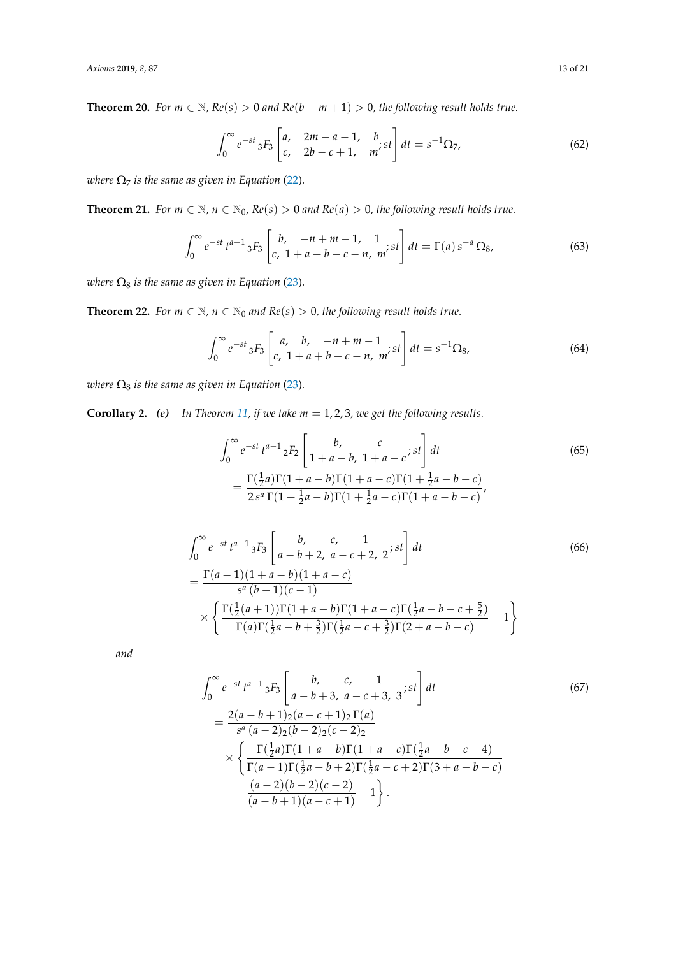**Theorem 20.** *For*  $m \in \mathbb{N}$ *,*  $Re(s) > 0$  *and*  $Re(b - m + 1) > 0$ *, the following result holds true.* 

$$
\int_0^\infty e^{-st} {}_3F_3 \left[ \begin{matrix} a, & 2m-a-1, & b \\ c, & 2b-c+1, & m \end{matrix} ; st \right] dt = s^{-1} \Omega_7,
$$
 (62)

*where*  $\Omega$ <sub>7</sub> *is the same as given in Equation* [\(22\)](#page-4-3).

<span id="page-12-0"></span>**Theorem 21.** *For*  $m \in \mathbb{N}$ ,  $n \in \mathbb{N}_0$ ,  $Re(s) > 0$  *and*  $Re(a) > 0$ , the following result holds true.

$$
\int_0^\infty e^{-st} t^{a-1} {}_3F_3 \left[ \begin{array}{cc} b, & -n+m-1, & 1\\ c, & 1+a+b-c-n, & m \end{array} \right] dt = \Gamma(a) \, s^{-a} \, \Omega_8,\tag{63}
$$

*where*  $\Omega_8$  *is the same as given in Equation* [\(23\)](#page-5-1).

**Theorem 22.** *For*  $m \in \mathbb{N}$ *,*  $n \in \mathbb{N}_0$  *and*  $Re(s) > 0$ *, the following result holds true.* 

$$
\int_0^\infty e^{-st} {}_3F_3 \left[ \begin{array}{cc} a, & b, & -n+m-1 \\ c, & 1+a+b-c-n, & m \end{array} \right] dt = s^{-1} \Omega_8,\tag{64}
$$

*where*  $\Omega_8$  *is the same as given in Equation* [\(23\)](#page-5-1).

**Corollary 2.** *(e) In Theorem [11,](#page-10-1) if we take m* = 1, 2, 3*, we get the following results.*

<span id="page-12-1"></span>
$$
\int_0^{\infty} e^{-st} t^{a-1} {}_{2}F_2 \left[ \begin{array}{cc} b, & c \\ 1+a-b, & 1+a-c \end{array} ; st \right] dt
$$
\n
$$
= \frac{\Gamma(\frac{1}{2}a)\Gamma(1+a-b)\Gamma(1+a-c)\Gamma(1+\frac{1}{2}a-b-c)}{2s^a \Gamma(1+\frac{1}{2}a-b)\Gamma(1+\frac{1}{2}a-c)\Gamma(1+a-b-c)},
$$
\n(65)

$$
\int_0^{\infty} e^{-st} t^{a-1} {}_3F_3 \left[ \begin{array}{cc} b, & c, & 1 \\ a - b + 2, & a - c + 2, & 2 \end{array} ; st \right] dt
$$
\n
$$
= \frac{\Gamma(a-1)(1+a-b)(1+a-c)}{s^a (b-1)(c-1)} \times \left\{ \frac{\Gamma(\frac{1}{2}(a+1))\Gamma(1+a-b)\Gamma(1+a-c)\Gamma(\frac{1}{2}a-b-c+\frac{5}{2})}{\Gamma(a)\Gamma(\frac{1}{2}a-b+\frac{3}{2})\Gamma(\frac{1}{2}a-c+\frac{3}{2})\Gamma(2+a-b-c)} - 1 \right\}
$$
\n(66)

*and*

$$
\int_0^\infty e^{-st} t^{a-1} {}_3F_3 \left[ \begin{array}{ccc} b, & c, & 1 \\ a - b + 3, & a - c + 3, & 3 \end{array} ; st \right] dt \tag{67}
$$
\n
$$
= \frac{2(a - b + 1)2(a - c + 1)2 \Gamma(a)}{s^a (a - 2)2(b - 2)2(c - 2)2} \times \left\{ \frac{\Gamma(\frac{1}{2}a) \Gamma(1 + a - b) \Gamma(1 + a - c) \Gamma(\frac{1}{2}a - b - c + 4)}{\Gamma(a - 1) \Gamma(\frac{1}{2}a - b + 2) \Gamma(\frac{1}{2}a - c + 2) \Gamma(3 + a - b - c)} - \frac{(a - 2)(b - 2)(c - 2)}{(a - b + 1)(a - c + 1)} - 1 \right\}.
$$
\n(67)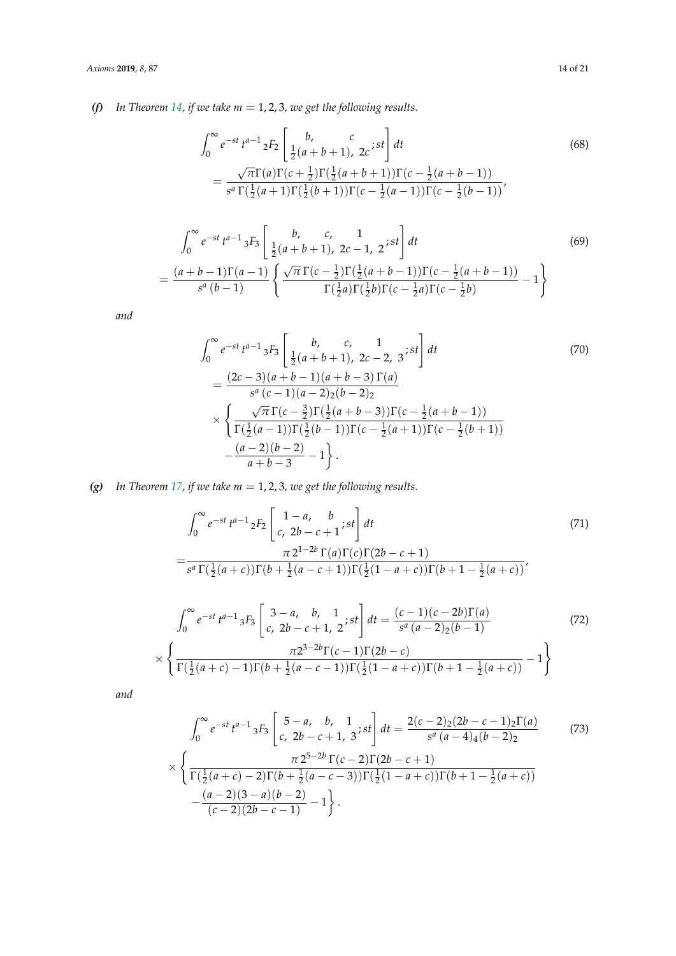*(f) In Theorem [14,](#page-11-0) if we take m* = 1, 2, 3*, we get the following results.*

<span id="page-13-0"></span>
$$
\int_0^{\infty} e^{-st} t^{a-1} {}_{2}F_2 \left[ \frac{b}{\frac{1}{2}(a+b+1)}, \frac{c}{2c}; st \right] dt
$$
\n
$$
= \frac{\sqrt{\pi} \Gamma(a) \Gamma(c+\frac{1}{2}) \Gamma(\frac{1}{2}(a+b+1)) \Gamma(c-\frac{1}{2}(a+b-1))}{s^a \Gamma(\frac{1}{2}(a+1) \Gamma(\frac{1}{2}(b+1)) \Gamma(c-\frac{1}{2}(a-1)) \Gamma(c-\frac{1}{2}(b-1))},
$$
\n(68)

$$
\int_0^\infty e^{-st} t^{a-1} 3F_3 \left[ \frac{b}{\frac{1}{2}(a+b+1)}, \frac{c}{2c-1}, \frac{1}{2} \times st \right] dt
$$
\n
$$
= \frac{(a+b-1)\Gamma(a-1)}{s^a (b-1)} \left\{ \frac{\sqrt{\pi} \Gamma(c-\frac{1}{2})\Gamma(\frac{1}{2}(a+b-1))\Gamma(c-\frac{1}{2}(a+b-1))}{\Gamma(\frac{1}{2}a)\Gamma(\frac{1}{2}b)\Gamma(c-\frac{1}{2}a)} - 1 \right\}
$$
\n(69)

*and*

$$
\int_0^\infty e^{-st} t^{a-1} {}_3F_3 \left[ \frac{b}{\frac{1}{2}(a+b+1)}, \frac{c}{2c-2}, 3 \right] dt
$$
\n
$$
= \frac{(2c-3)(a+b-1)(a+b-3) \Gamma(a)}{s^a (c-1)(a-2) \cdot 2} \times \left\{ \frac{\sqrt{\pi} \Gamma(c-\frac{3}{2}) \Gamma(\frac{1}{2}(a+b-3)) \Gamma(c-\frac{1}{2}(a+b-1))}{\Gamma(\frac{1}{2}(a-1)) \Gamma(\frac{1}{2}(b-1)) \Gamma(c-\frac{1}{2}(a+1)) \Gamma(c-\frac{1}{2}(b+1))} - \frac{(a-2)(b-2)}{a+b-3} - 1 \right\}.
$$
\n(70)

*(g) In Theorem [17,](#page-11-1) if we take m* = 1, 2, 3*, we get the following results.*

<span id="page-13-1"></span>
$$
\int_0^\infty e^{-st} t^{a-1} {}_2F_2 \left[ \begin{array}{cc} 1-a, & b \\ c, & 2b - c + 1 \end{array} ; st \right] dt
$$
\n
$$
= \frac{\pi 2^{1-2b} \Gamma(a) \Gamma(c) \Gamma(2b - c + 1)}{s^a \Gamma(\frac{1}{2}(a+c)) \Gamma(b + \frac{1}{2}(a-c+1)) \Gamma(\frac{1}{2}(1-a+c)) \Gamma(b+1-\frac{1}{2}(a+c))},
$$
\n(71)

$$
\int_0^\infty e^{-st} t^{a-1} 3F_3 \left[ \frac{3-a}{c, 2b-c+1, 2}; st \right] dt = \frac{(c-1)(c-2b)\Gamma(a)}{s^a (a-2)(b-1)} \times \left\{ \frac{\pi 2^{3-2b}\Gamma(c-1)\Gamma(2b-c)}{\Gamma(\frac{1}{2}(a+c)-1)\Gamma(b+\frac{1}{2}(a-c-1))\Gamma(\frac{1}{2}(1-a+c))\Gamma(b+1-\frac{1}{2}(a+c))} - 1 \right\}
$$
(72)

*and*

$$
\int_0^\infty e^{-st} t^{a-1} 3F_3 \begin{bmatrix} 5-a, & b, & 1 \ c, & 2b-c+1, & 3 \end{bmatrix} dt = \frac{2(c-2)_2(2b-c-1)_2\Gamma(a)}{s^a(a-4)_4(b-2)_2}
$$
(73)  

$$
\times \left\{ \frac{\pi 2^{5-2b}\Gamma(c-2)\Gamma(2b-c+1)}{\Gamma(\frac{1}{2}(a+c)-2)\Gamma(b+\frac{1}{2}(a-c-3))\Gamma(\frac{1}{2}(1-a+c))\Gamma(b+1-\frac{1}{2}(a+c))} - \frac{(a-2)(3-a)(b-2)}{(c-2)(2b-c-1)} - 1 \right\}.
$$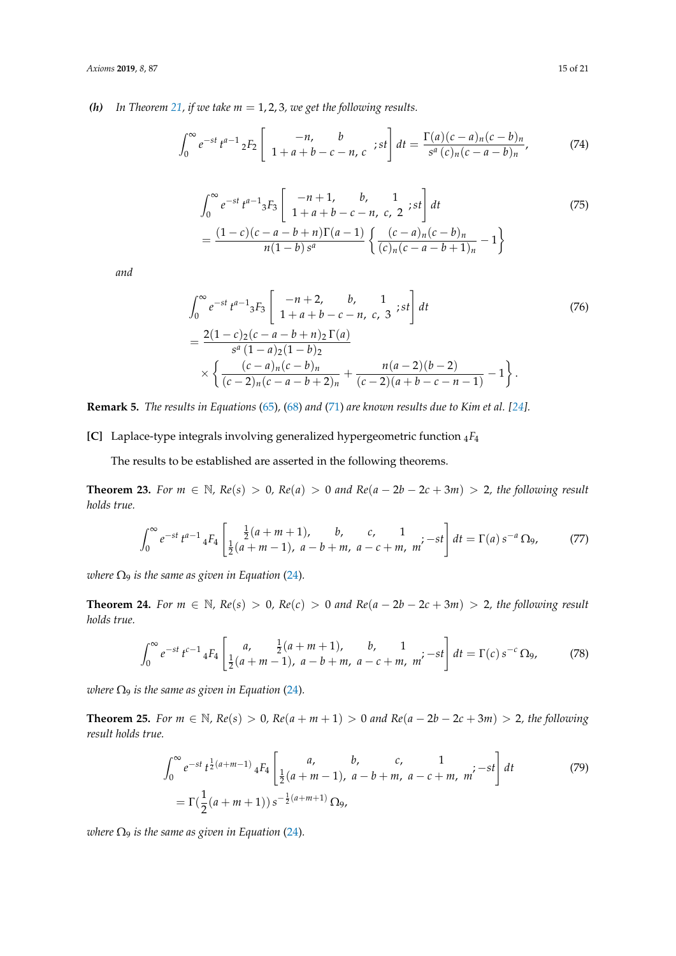*(h)* In Theorem [21,](#page-12-0) if we take  $m = 1, 2, 3$ , we get the following results.

$$
\int_0^\infty e^{-st} t^{a-1} \, 2F_2 \left[ \begin{array}{cc} -n, & b \\ 1 + a + b - c - n, & c \end{array} ; st \right] dt = \frac{\Gamma(a)(c-a)_n (c-b)_n}{s^a (c)_n (c-a-b)_n},\tag{74}
$$

$$
\int_0^{\infty} e^{-st} t^{a-1} {}_{3}F_3 \left[ \begin{array}{cc} -n+1, & b, & 1 \\ 1+a+b-c-n, & c, & 2 \end{array} ; st \right] dt
$$
\n
$$
= \frac{(1-c)(c-a-b+n)\Gamma(a-1)}{n(1-b)s^a} \left\{ \frac{(c-a)_n(c-b)_n}{(c)_n(c-a-b+1)_n} - 1 \right\}
$$
\n(75)

*and*

$$
\int_0^\infty e^{-st} t^{a-1} {}_3F_3 \left[ \begin{array}{ccc} -n+2, & b, & 1 \\ 1+a+b-c-n, & c, & 3 \end{array} ; st \right] dt
$$
\n
$$
= \frac{2(1-c)\cdot(c-a-b+n)\cdot\Gamma(a)}{s^a(1-a)\cdot(1-b)\cdot 2} \times \left\{ \frac{(c-a)_n(c-b)_n}{(c-2)_n(c-a-b+2)_n} + \frac{n(a-2)(b-2)}{(c-2)(a+b-c-n-1)} - 1 \right\}.
$$
\n(76)

**Remark 5.** *The results in Equations* [\(65\)](#page-12-1)*,* [\(68\)](#page-13-0) *and* [\(71\)](#page-13-1) *are known results due to Kim et al. [\[24\]](#page-20-1).*

**[C]** Laplace-type integrals involving generalized hypergeometric function <sup>4</sup>*F*<sup>4</sup>

The results to be established are asserted in the following theorems.

<span id="page-14-1"></span>**Theorem 23.** *For m* ∈ N,  $Re(s) > 0$ ,  $Re(a) > 0$  *and*  $Re(a - 2b - 2c + 3m) > 2$ , the following result *holds true.*

$$
\int_0^\infty e^{-st} t^{a-1} 4F_4 \left[ \frac{\frac{1}{2}(a+m+1), \quad b, \quad c, \quad 1}{\frac{1}{2}(a+m-1), \ a-b+m, \ a-c+m, \ m'} - st \right] dt = \Gamma(a) s^{-a} \Omega_9, \tag{77}
$$

*where*  $\Omega_9$  *is the same as given in Equation* [\(24\)](#page-5-2).

<span id="page-14-0"></span>**Theorem 24.** *For*  $m \in \mathbb{N}$ ,  $Re(s) > 0$ ,  $Re(c) > 0$  *and*  $Re(a - 2b - 2c + 3m) > 2$ , the following result *holds true.*

$$
\int_0^\infty e^{-st} t^{c-1} \, 4F_4 \left[ \begin{array}{cc} a, & \frac{1}{2}(a+m+1), & b, & 1\\ \frac{1}{2}(a+m-1), & a-b+m, & a-c+m, & m \end{array} \right] dt = \Gamma(c) \, s^{-c} \, \Omega_9,\tag{78}
$$

*where*  $\Omega$ <sub>9</sub> *is the same as given in Equation* [\(24\)](#page-5-2).

<span id="page-14-2"></span>**Theorem 25.** *For m* ∈ N*, Re*(*s*) > 0*, Re*(*a* + *m* + 1) > 0 *and Re*(*a* − 2*b* − 2*c* + 3*m*) > 2*, the following result holds true.*

$$
\int_0^{\infty} e^{-st} t^{\frac{1}{2}(a+m-1)} 4F_4 \left[ \begin{array}{cc} a, & b, & c, & 1\\ \frac{1}{2}(a+m-1), & a-b+m, & a-c+m, & m' \end{array} \right] dt \tag{79}
$$
  
=  $\Gamma(\frac{1}{2}(a+m+1)) s^{-\frac{1}{2}(a+m+1)} \Omega_9,$ 

*where*  $\Omega_9$  *is the same as given in Equation* [\(24\)](#page-5-2).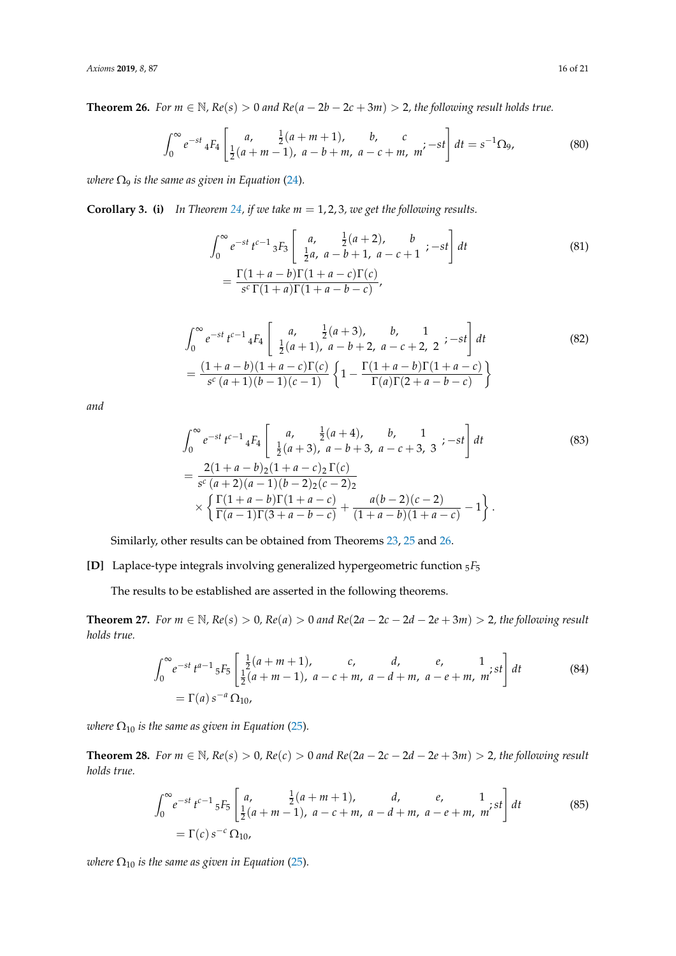<span id="page-15-0"></span>**Theorem 26.** *For m* ∈ N,  $Re(s) > 0$  *and*  $Re(a - 2b - 2c + 3m) > 2$ , the following result holds true.

$$
\int_0^\infty e^{-st} \, 4F_4 \left[ \frac{a}{\frac{1}{2}(a+m-1)}, \frac{\frac{1}{2}(a+m+1)}{a-b+m}, \frac{b}{a-c+m}, \frac{c}{m'} - st \right] dt = s^{-1} \Omega_9,\tag{80}
$$

*where*  $\Omega_9$  *is the same as given in Equation* [\(24\)](#page-5-2).

**Corollary 3. (i)** In Theorem [24,](#page-14-0) *if we take m* = 1, 2, 3, *we get the following results.* 

$$
\int_0^\infty e^{-st} t^{c-1} {}_3F_3 \left[ \begin{array}{cc} a, & \frac{1}{2}(a+2), & b \\ \frac{1}{2}a, & a-b+1, & a-c+1 \end{array} ; -st \right] dt
$$
\n
$$
= \frac{\Gamma(1+a-b)\Gamma(1+a-c)\Gamma(c)}{s^c \Gamma(1+a)\Gamma(1+a-b-c)},
$$
\n(81)

$$
\int_0^{\infty} e^{-st} t^{c-1} 4F_4 \begin{bmatrix} a, & \frac{1}{2}(a+3), & b, & 1\\ \frac{1}{2}(a+1), & a-b+2, & a-c+2, & 2 \end{bmatrix} dt
$$
\n
$$
= \frac{(1+a-b)(1+a-c)\Gamma(c)}{s^c(a+1)(b-1)(c-1)} \left\{ 1 - \frac{\Gamma(1+a-b)\Gamma(1+a-c)}{\Gamma(a)\Gamma(2+a-b-c)} \right\}
$$
\n(82)

*and*

$$
\int_0^\infty e^{-st} t^{c-1} 4F_4 \begin{bmatrix} a, & \frac{1}{2}(a+4), & b, & 1\\ \frac{1}{2}(a+3), & a-b+3, & a-c+3, & 3 \end{bmatrix} dt
$$
\n
$$
= \frac{2(1+a-b)2(1+a-c)2 \Gamma(c)}{s^c (a+2)(a-1)(b-2)2(c-2)2} \times \left\{ \frac{\Gamma(1+a-b)\Gamma(1+a-c)}{\Gamma(a-1)\Gamma(3+a-b-c)} + \frac{a(b-2)(c-2)}{(1+a-b)(1+a-c)} - 1 \right\}.
$$
\n(83)

Similarly, other results can be obtained from Theorems [23,](#page-14-1) [25](#page-14-2) and [26.](#page-15-0)

**[D]** Laplace-type integrals involving generalized hypergeometric function <sup>5</sup>*F*<sup>5</sup>

The results to be established are asserted in the following theorems.

<span id="page-15-1"></span>**Theorem 27.** *For*  $m \in \mathbb{N}$ ,  $Re(s) > 0$ ,  $Re(a) > 0$  and  $Re(2a - 2c - 2d - 2e + 3m) > 2$ , the following result *holds true.*

Z <sup>∞</sup> 0 *e* <sup>−</sup>*st t a*−1 <sup>5</sup>*F*<sup>5</sup> " 1 2 (*a* + *m* + 1), *c*, *d*, *e*, 1 1 2 (*a* + *m* − 1), *a* − *c* + *m*, *a* − *d* + *m*, *a* − *e* + *m*, *m* ;*st*# *dt* (84) = Γ(*a*)*s* <sup>−</sup>*<sup>a</sup>* <sup>Ω</sup>10,

*where*  $\Omega_{10}$  *is the same as given in Equation* [\(25\)](#page-5-3).

<span id="page-15-2"></span>**Theorem 28.** *For m* ∈ N*, Re*(*s*) > 0*, Re*(*c*) > 0 *and Re*(2*a* − 2*c* − 2*d* − 2*e* + 3*m*) > 2*, the following result holds true.*

$$
\int_0^{\infty} e^{-st} t^{c-1} 5F_5 \begin{bmatrix} a, & \frac{1}{2}(a+m+1), & d, & e, & 1\\ \frac{1}{2}(a+m-1), & a-c+m, & a-d+m, & a-e+m, & m' \end{bmatrix} dt
$$
(85)  
=  $\Gamma(c) s^{-c} \Omega_{10}$ ,

*where*  $\Omega_{10}$  *is the same as given in Equation* [\(25\)](#page-5-3).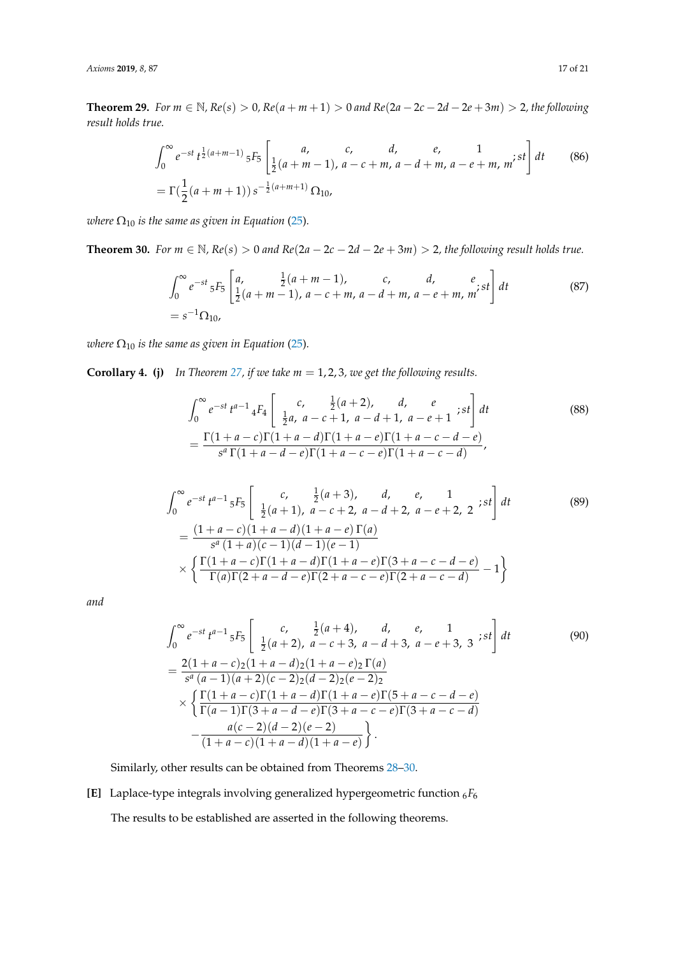**Theorem 29.** For  $m \in \mathbb{N}$ ,  $Re(s) > 0$ ,  $Re(a + m + 1) > 0$  and  $Re(2a - 2c - 2d - 2e + 3m) > 2$ , the following *result holds true.*

$$
\int_0^\infty e^{-st} t^{\frac{1}{2}(a+m-1)} 5F_5 \left[ \begin{array}{cccc} a, & c, & d, & e, & 1\\ \frac{1}{2}(a+m-1), & a-c+m, & a-d+m, & a-e+m, & m \end{array} \right] dt \qquad (86)
$$
  
=  $\Gamma(\frac{1}{2}(a+m+1)) s^{-\frac{1}{2}(a+m+1)} \Omega_{10},$ 

*where*  $\Omega_{10}$  *is the same as given in Equation* [\(25\)](#page-5-3).

<span id="page-16-0"></span>**Theorem 30.** *For m* ∈ N,  $Re(s) > 0$  *and*  $Re(2a - 2c - 2d - 2e + 3m) > 2$ , the following result holds true.

$$
\int_0^{\infty} e^{-st} {}_5F_5 \left[ \begin{array}{cc} a, & \frac{1}{2}(a+m-1), & c, & d, & e \\ \frac{1}{2}(a+m-1), & a-c+m, & a-d+m, & a-e+m, & m \end{array} \right] dt
$$
 (87)  
=  $s^{-1} \Omega_{10}$ ,

*where*  $\Omega_{10}$  *is the same as given in Equation* [\(25\)](#page-5-3).

**Corollary 4.** (j) In Theorem [27,](#page-15-1) *if we take m* = 1, 2, 3, we get the following results.

$$
\int_0^\infty e^{-st} t^{a-1} 4F_4 \left[ \begin{array}{cc} c, & \frac{1}{2}(a+2), & d, & e \\ \frac{1}{2}a, & a-c+1, & a-d+1, & a-e+1 \end{array} \right] dt
$$
\n
$$
= \frac{\Gamma(1+a-c)\Gamma(1+a-d)\Gamma(1+a-e)\Gamma(1+a-c-d-e)}{s^a \Gamma(1+a-d-e)\Gamma(1+a-c-e)\Gamma(1+a-c-d)},
$$
\n(88)

$$
\int_0^{\infty} e^{-st} t^{a-1} 5F_5 \left[ \begin{array}{ccc} c, & \frac{1}{2}(a+3), & d, & e, & 1\\ \frac{1}{2}(a+1), & a-c+2, & a-d+2, & a-e+2, & 2 \end{array} ; st \right] dt
$$
\n
$$
= \frac{(1+a-c)(1+a-d)(1+a-e) \Gamma(a)}{s^a (1+a)(c-1)(d-1)(e-1)} \times \left\{ \frac{\Gamma(1+a-c)\Gamma(1+a-d)\Gamma(1+a-e) \Gamma(3+a-c-d-e)}{\Gamma(a)\Gamma(2+a-d-e)\Gamma(2+a-c-e)\Gamma(2+a-c-d)} - 1 \right\}
$$
\n(89)

*and*

$$
\int_0^{\infty} e^{-st} t^{a-1} 5F_5 \left[ \frac{c}{\frac{1}{2}(a+2), a-c+3, a-d+3, a-e+3, 3}; st \right] dt
$$
\n
$$
= \frac{2(1+a-c)2(1+a-d)2(1+a-e)2\Gamma(a)}{s^a(a-1)(a+2)(c-2)2(a-2)2(e-2)2}
$$
\n
$$
\times \left\{ \frac{\Gamma(1+a-c)\Gamma(1+a-d)\Gamma(1+a-e)\Gamma(5+a-c-d-e)}{\Gamma(a-1)\Gamma(3+a-d-e)\Gamma(3+a-c-e)\Gamma(3+a-c-d)} - \frac{a(c-2)(d-2)(e-2)}{(1+a-c)(1+a-d)(1+a-e)} \right\}.
$$
\n(90)

Similarly, other results can be obtained from Theorems [28–](#page-15-2)[30.](#page-16-0)

**[E]** Laplace-type integrals involving generalized hypergeometric function <sup>6</sup>*F*<sup>6</sup> The results to be established are asserted in the following theorems.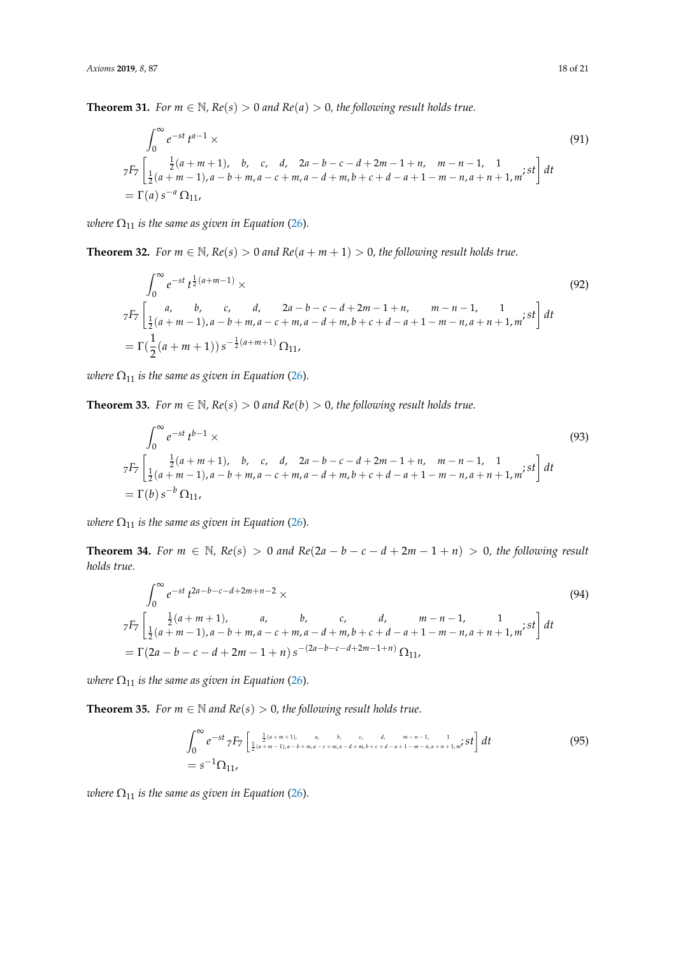<span id="page-17-1"></span>**Theorem 31.** *For*  $m \in \mathbb{N}$ ,  $Re(s) > 0$  *and*  $Re(a) > 0$ , *the following result holds true.* 

$$
\int_0^\infty e^{-st} t^{a-1} \times
$$
\n
$$
{}^{7F_7} \left[ \frac{1}{2} (a+m+1), \quad b, \quad c, \quad d, \quad 2a-b-c-d+2m-1+n, \quad m-n-1, \quad 1\\ \frac{1}{2} (a+m-1), \quad a-b+m, \quad a-c+m, \quad a-d+m, \quad b+c+d-a+1-m-n, \quad a+n+1, \quad m \in \mathbb{R}^2 \right] dt
$$
\n
$$
= \Gamma(a) s^{-a} \Omega_{11},
$$
\n(91)

*where*  $\Omega_{11}$  *is the same as given in Equation* [\(26\)](#page-5-0).

<span id="page-17-2"></span>**Theorem 32.** *For*  $m \in \mathbb{N}$ *,*  $Re(s) > 0$  *and*  $Re(a + m + 1) > 0$ *, the following result holds true.* 

$$
\int_0^\infty e^{-st} t^{\frac{1}{2}(a+m-1)} \times
$$
\n
$$
{}^{7F_7} \left[ \begin{array}{cccc} a, & b, & c, & d, & 2a - b - c - d + 2m - 1 + n, & m - n - 1, & 1 \\ \frac{1}{2}(a+m-1), & a - b + m, & a - c + m, & a - d + m, & b + c + d - a + 1 - m - n, & a + n + 1, & m \end{array} \right] dt
$$
\n
$$
= \Gamma(\frac{1}{2}(a+m+1)) \, s^{-\frac{1}{2}(a+m+1)} \, \Omega_{11},
$$
\n(92)

*where*  $\Omega_{11}$  *is the same as given in Equation* [\(26\)](#page-5-0).

**Theorem 33.** *For*  $m \in \mathbb{N}$ *,*  $Re(s) > 0$  *and*  $Re(b) > 0$ *, the following result holds true.* 

$$
\int_0^{\infty} e^{-st} t^{b-1} \times
$$
\n
$$
{}_{7}F_7 \left[ \frac{1}{2} (a+m+1), b, c, d, 2a-b-c-d+2m-1+n, m-n-1, 1 \atop \frac{1}{2} (a+m-1), a-b+m, a-c+m, a-d+m, b+c+d-a+1-m-n, a+n+1, m' \text{ }^s t \right] dt
$$
\n
$$
= \Gamma(b) s^{-b} \Omega_{11},
$$
\n(93)

*where*  $\Omega_{11}$  *is the same as given in Equation* [\(26\)](#page-5-0).

**Theorem 34.** *For m* ∈ N,  $Re(s) > 0$  *and*  $Re(2a - b - c - d + 2m - 1 + n) > 0$ , the following result *holds true.*

$$
\int_0^\infty e^{-st} t^{2a-b-c-d+2m+n-2} \times
$$
\n
$$
{}_{7}F_7 \left[ \frac{1}{2}(a+m+1), a, b, c, d, m-n-1, 1, n; st \right] dt
$$
\n
$$
= \Gamma(2a-b-c-d+2m-1+n) s^{-(2a-b-c-d+2m-1+n)} \Omega_{11},
$$
\n(94)

*where*  $\Omega_{11}$  *is the same as given in Equation* [\(26\)](#page-5-0).

<span id="page-17-0"></span>**Theorem 35.** *For*  $m \in \mathbb{N}$  *and*  $Re(s) > 0$ *, the following result holds true.* 

$$
\int_0^{\infty} e^{-st} \, 7F_7 \left[ \frac{1}{2} (a+m+1), \ a, \ b, \ c, \ d, \ m-n-1, \ 1 \atop 2} t \right] dt
$$
\n
$$
= s^{-1} \Omega_{11},
$$
\n(95)

*where*  $\Omega_{11}$  *is the same as given in Equation* [\(26\)](#page-5-0).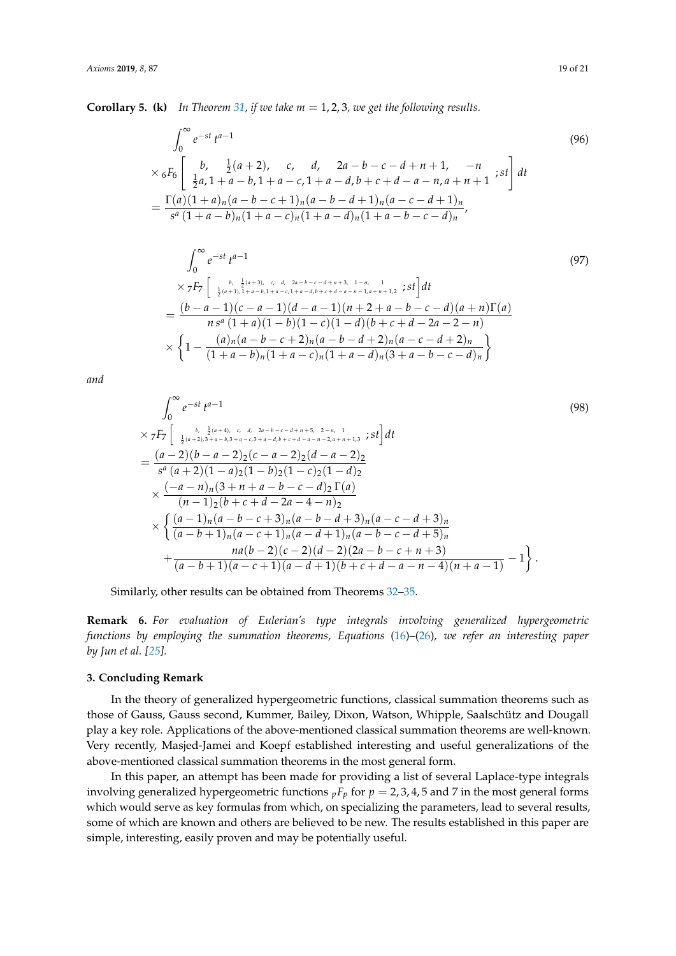**Corollary 5. (k)** In Theorem [31,](#page-17-1) if we take  $m = 1, 2, 3$ , we get the following results.

$$
\int_0^\infty e^{-st} t^{a-1}
$$
\n
$$
\times {}_6F_6 \left[ \begin{array}{cccc} b, & \frac{1}{2}(a+2), & c, & d, & 2a-b-c-d+n+1, & -n \\ \frac{1}{2}a, & 1+a-b, & 1+a-c, & 1+a-d, & b+c+d-a-n, & a+n+1 \end{array} \right] dt
$$
\n
$$
= \frac{\Gamma(a)(1+a)_n(a-b-c+1)_n(a-b-d+1)_n(a-c-d+1)_n}{s^a(1+a-b)_n(1+a-c)_n(1+a-d)_n(1+a-b-c-d)_n},
$$
\n(96)

$$
\int_{0}^{\infty} e^{-st} t^{a-1}
$$
\n
$$
\times 7F_7 \left[ \begin{array}{c} b, & \frac{1}{2}(a+3), & c, & d, & 2a-b-c-d+n+3, & 1-n, & 1\\ \frac{1}{2}(a+1), & 1+a-b, & 1+a-c, & 1+a-d,b+c+d-a-n-1, & a+n+1, & 2 \end{array}; st \right] dt
$$
\n
$$
= \frac{(b-a-1)(c-a-1)(d-a-1)(n+2+a-b-c-d)(a+n)\Gamma(a)}{n s^a (1+a)(1-b)(1-c)(1-d)(b+c+d-2a-2-n)}
$$
\n
$$
\times \left\{ 1 - \frac{(a)_n(a-b-c+2)_n(a-b-d+2)_n(a-c-d+2)_n}{(1+a-b)_n(1+a-c)_n(1+a-d)_n(3+a-b-c-d)_n} \right\}
$$
\n
$$
(97)
$$

*and*

$$
\int_{0}^{\infty} e^{-st} t^{a-1}
$$
\n
$$
\times 7F_7 \left[ \begin{array}{cc} \frac{b}{2}(a+2), \frac{1}{2}(a+4), c, d, 2a-b-c-d+n+5, 2-n, 1}{\frac{1}{2}(a+2), 3+a-b, 3+a-c, 3+a-d, b+c+d-a-n-2, a+n+1, 3} \end{array} ; st \right] dt
$$
\n
$$
= \frac{(a-2)(b-a-2)2(c-a-2)2(d-a-2)2}{s^a(a+2)(1-a)2(1-b)2(1-c)2(1-d)2}
$$
\n
$$
\times \frac{(-a-n)_n(3+n+a-b-c-d)_2 \Gamma(a)}{(n-1)2(b+c+d-2a-4-n)_2}
$$
\n
$$
\times \left\{ \frac{(a-1)_n(a-b-c+3)_n(a-b-d+3)_n(a-c-d+3)_n}{(a-b+1)_n(a-c+1)_n(a-d+1)_n(a-b-c-d+5)_n} + \frac{na(b-2)(c-2)(d-2)(2a-b-c+n+3)}{(a-b+1)(a-c+1)(a-d+1)(b+c+d-a-n-4)(n+a-1)} - 1 \right\}.
$$
\n(98)

Similarly, other results can be obtained from Theorems [32–](#page-17-2)[35.](#page-17-0)

**Remark 6.** *For evaluation of Eulerian's type integrals involving generalized hypergeometric functions by employing the summation theorems, Equations* [\(16\)](#page-3-0)*–*[\(26\)](#page-5-0)*, we refer an interesting paper by Jun et al. [\[25\]](#page-20-2).*

#### **3. Concluding Remark**

In the theory of generalized hypergeometric functions, classical summation theorems such as those of Gauss, Gauss second, Kummer, Bailey, Dixon, Watson, Whipple, Saalschütz and Dougall play a key role. Applications of the above-mentioned classical summation theorems are well-known. Very recently, Masjed-Jamei and Koepf established interesting and useful generalizations of the above-mentioned classical summation theorems in the most general form.

In this paper, an attempt has been made for providing a list of several Laplace-type integrals involving generalized hypergeometric functions  $pF_p$  for  $p = 2, 3, 4, 5$  and 7 in the most general forms which would serve as key formulas from which, on specializing the parameters, lead to several results, some of which are known and others are believed to be new. The results established in this paper are simple, interesting, easily proven and may be potentially useful.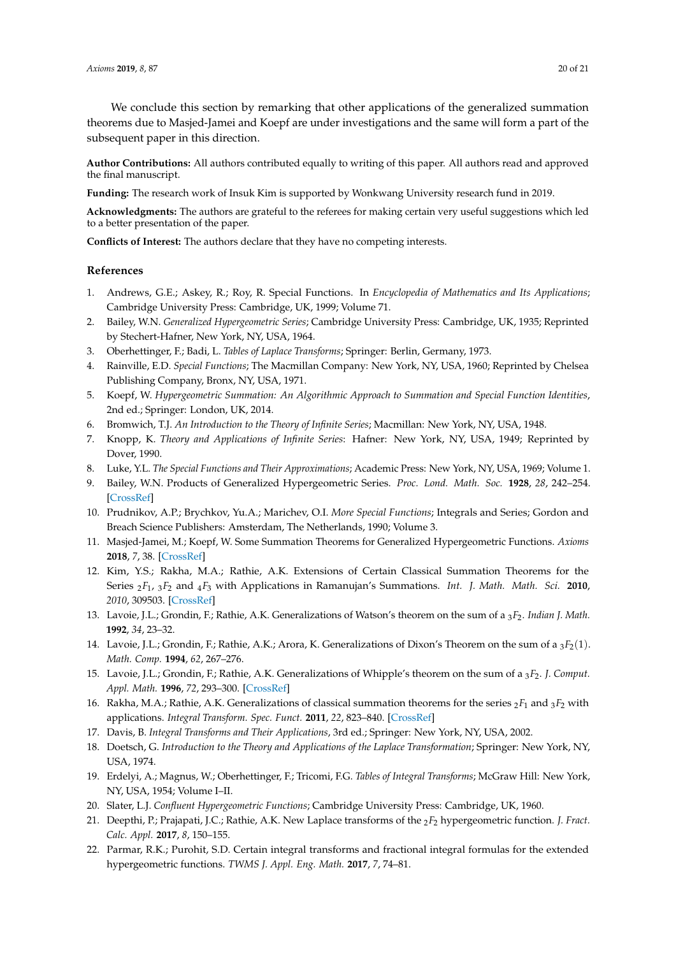We conclude this section by remarking that other applications of the generalized summation theorems due to Masjed-Jamei and Koepf are under investigations and the same will form a part of the subsequent paper in this direction.

**Author Contributions:** All authors contributed equally to writing of this paper. All authors read and approved the final manuscript.

**Funding:** The research work of Insuk Kim is supported by Wonkwang University research fund in 2019.

**Acknowledgments:** The authors are grateful to the referees for making certain very useful suggestions which led to a better presentation of the paper.

**Conflicts of Interest:** The authors declare that they have no competing interests.

### **References**

- <span id="page-19-0"></span>1. Andrews, G.E.; Askey, R.; Roy, R. Special Functions. In *Encyclopedia of Mathematics and Its Applications*; Cambridge University Press: Cambridge, UK, 1999; Volume 71.
- <span id="page-19-6"></span>2. Bailey, W.N. *Generalized Hypergeometric Series*; Cambridge University Press: Cambridge, UK, 1935; Reprinted by Stechert-Hafner, New York, NY, USA, 1964.
- <span id="page-19-14"></span><span id="page-19-1"></span>3. Oberhettinger, F.; Badi, L. *Tables of Laplace Transforms*; Springer: Berlin, Germany, 1973.
- 4. Rainville, E.D. *Special Functions*; The Macmillan Company: New York, NY, USA, 1960; Reprinted by Chelsea Publishing Company, Bronx, NY, USA, 1971.
- <span id="page-19-2"></span>5. Koepf, W. *Hypergeometric Summation: An Algorithmic Approach to Summation and Special Function Identities*, 2nd ed.; Springer: London, UK, 2014.
- <span id="page-19-3"></span>6. Bromwich, T.J. *An Introduction to the Theory of Infinite Series*; Macmillan: New York, NY, USA, 1948.
- <span id="page-19-4"></span>7. Knopp, K. *Theory and Applications of Infinite Series*: Hafner: New York, NY, USA, 1949; Reprinted by Dover, 1990.
- <span id="page-19-5"></span>8. Luke, Y.L. *The Special Functions and Their Approximations*; Academic Press: New York, NY, USA, 1969; Volume 1.
- <span id="page-19-7"></span>9. Bailey, W.N. Products of Generalized Hypergeometric Series. *Proc. Lond. Math. Soc.* **1928**, *28*, 242–254. [\[CrossRef\]](http://dx.doi.org/10.1112/plms/s2-28.1.242)
- <span id="page-19-8"></span>10. Prudnikov, A.P.; Brychkov, Yu.A.; Marichev, O.I. *More Special Functions*; Integrals and Series; Gordon and Breach Science Publishers: Amsterdam, The Netherlands, 1990; Volume 3.
- <span id="page-19-9"></span>11. Masjed-Jamei, M.; Koepf, W. Some Summation Theorems for Generalized Hypergeometric Functions. *Axioms* **2018**, *7*, 38. [\[CrossRef\]](http://dx.doi.org/10.3390/axioms7020038)
- <span id="page-19-10"></span>12. Kim, Y.S.; Rakha, M.A.; Rathie, A.K. Extensions of Certain Classical Summation Theorems for the Series <sup>2</sup>*F*<sup>1</sup> , <sup>3</sup>*F*<sup>2</sup> and <sup>4</sup>*F*<sup>3</sup> with Applications in Ramanujan's Summations. *Int. J. Math. Math. Sci.* **2010**, *2010*, 309503. [\[CrossRef\]](http://dx.doi.org/10.1155/2010/309503)
- 13. Lavoie, J.L.; Grondin, F.; Rathie, A.K. Generalizations of Watson's theorem on the sum of a <sup>3</sup>*F*2. *Indian J. Math.* **1992**, *34*, 23–32.
- 14. Lavoie, J.L.; Grondin, F.; Rathie, A.K.; Arora, K. Generalizations of Dixon's Theorem on the sum of a <sup>3</sup>*F*2(1). *Math. Comp.* **1994**, *62*, 267–276.
- 15. Lavoie, J.L.; Grondin, F.; Rathie, A.K. Generalizations of Whipple's theorem on the sum of a <sup>3</sup>*F*2. *J. Comput. Appl. Math.* **1996**, *72*, 293–300. [\[CrossRef\]](http://dx.doi.org/10.1016/0377-0427(95)00279-0)
- <span id="page-19-11"></span>16. Rakha, M.A.; Rathie, A.K. Generalizations of classical summation theorems for the series <sup>2</sup>*F*<sup>1</sup> and <sup>3</sup>*F*<sup>2</sup> with applications. *Integral Transform. Spec. Funct.* **2011**, *22*, 823–840. [\[CrossRef\]](http://dx.doi.org/10.1080/10652469.2010.549487)
- <span id="page-19-12"></span>17. Davis, B. *Integral Transforms and Their Applications*, 3rd ed.; Springer: New York, NY, USA, 2002.
- <span id="page-19-13"></span>18. Doetsch, G. *Introduction to the Theory and Applications of the Laplace Transformation*; Springer: New York, NY, USA, 1974.
- <span id="page-19-15"></span>19. Erdelyi, A.; Magnus, W.; Oberhettinger, F.; Tricomi, F.G. *Tables of Integral Transforms*; McGraw Hill: New York, NY, USA, 1954; Volume I–II.
- <span id="page-19-16"></span>20. Slater, L.J. *Confluent Hypergeometric Functions*; Cambridge University Press: Cambridge, UK, 1960.
- <span id="page-19-17"></span>21. Deepthi, P.; Prajapati, J.C.; Rathie, A.K. New Laplace transforms of the <sup>2</sup>*F*<sup>2</sup> hypergeometric function. *J. Fract. Calc. Appl.* **2017**, *8*, 150–155.
- <span id="page-19-18"></span>22. Parmar, R.K.; Purohit, S.D. Certain integral transforms and fractional integral formulas for the extended hypergeometric functions. *TWMS J. Appl. Eng. Math.* **2017**, *7*, 74–81.